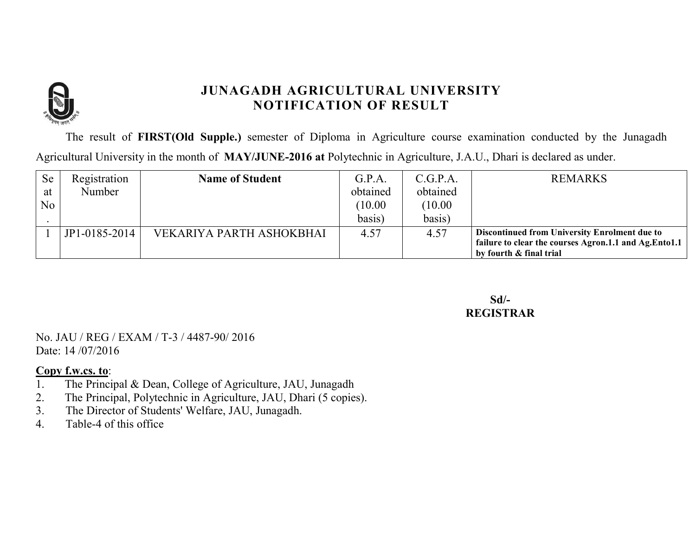

The result of **FIRST(Old Supple.)** semester of Diploma in Agriculture course examination conducted by the Junagadh Agricultural University in the month of **MAY/JUNE-2016 at** Polytechnic in Agriculture, J.A.U., Dhari is declared as under.

| <b>Se</b> | Registration  | <b>Name of Student</b>   | G.P.A.   | C.G.P.A. | <b>REMARKS</b>                                                                   |
|-----------|---------------|--------------------------|----------|----------|----------------------------------------------------------------------------------|
| at        | <b>Number</b> |                          | obtained | obtained |                                                                                  |
| No        |               |                          | (10.00)  | (10.00)  |                                                                                  |
|           |               |                          | basis)   | basis)   |                                                                                  |
|           | JP1-0185-2014 | VEKARIYA PARTH ASHOKBHAI | 4.57     | 4.57     | <b>Discontinued from University Enrolment due to</b>                             |
|           |               |                          |          |          | failure to clear the courses Agron.1.1 and Ag.Ento1.1<br>by fourth & final trial |

**Sd/- REGISTRAR**

No. JAU / REG / EXAM / T-3 / 4487-90/ 2016 Date: 14 /07/2016

- 1. The Principal & Dean, College of Agriculture, JAU, Junagadh
- 2. The Principal, Polytechnic in Agriculture, JAU, Dhari (5 copies).
- 3. The Director of Students' Welfare, JAU, Junagadh.
- 4. Table-4 of this office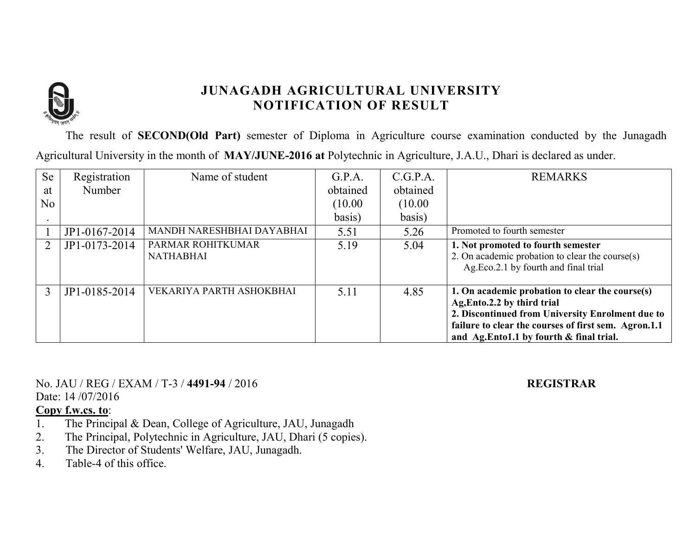

The result of **SECOND(Old Part)** semester of Diploma in Agriculture course examination conducted by the Junagadh Agricultural University in the month of **MAY/JUNE-2016 at** Polytechnic in Agriculture, J.A.U., Dhari is declared as under.

| <b>Se</b> | Registration  | Name of student                       | G.P.A.   | C.G.P.A. | <b>REMARKS</b>                                                                                                                                                                                                                        |
|-----------|---------------|---------------------------------------|----------|----------|---------------------------------------------------------------------------------------------------------------------------------------------------------------------------------------------------------------------------------------|
| at        | Number        |                                       | obtained | obtained |                                                                                                                                                                                                                                       |
| No        |               |                                       | (10.00)  | (10.00)  |                                                                                                                                                                                                                                       |
|           |               |                                       | basis)   | basis)   |                                                                                                                                                                                                                                       |
|           | JP1-0167-2014 | MANDH NARESHBHAI DAYABHAI             | 5.51     | 5.26     | Promoted to fourth semester                                                                                                                                                                                                           |
|           | JP1-0173-2014 | PARMAR ROHITKUMAR<br><b>NATHABHAI</b> | 5.19     | 5.04     | 1. Not promoted to fourth semester<br>2. On academic probation to clear the course(s)<br>Ag.Eco.2.1 by fourth and final trial                                                                                                         |
|           | JP1-0185-2014 | VEKARIYA PARTH ASHOKBHAI              | 5.11     | 4.85     | 1. On academic probation to clear the course(s)<br>Ag, Ento.2.2 by third trial<br>2. Discontinued from University Enrolment due to<br>failure to clear the courses of first sem. Agron.1.1<br>and Ag.Ento1.1 by fourth & final trial. |

No. JAU / REG / EXAM / T-3 / **4491-94** / 2016 **REGISTRAR**

Date: 14 /07/2016

- 1. The Principal & Dean, College of Agriculture, JAU, Junagadh
- 2. The Principal, Polytechnic in Agriculture, JAU, Dhari (5 copies).
- 3. The Director of Students' Welfare, JAU, Junagadh.
- 4. Table-4 of this office.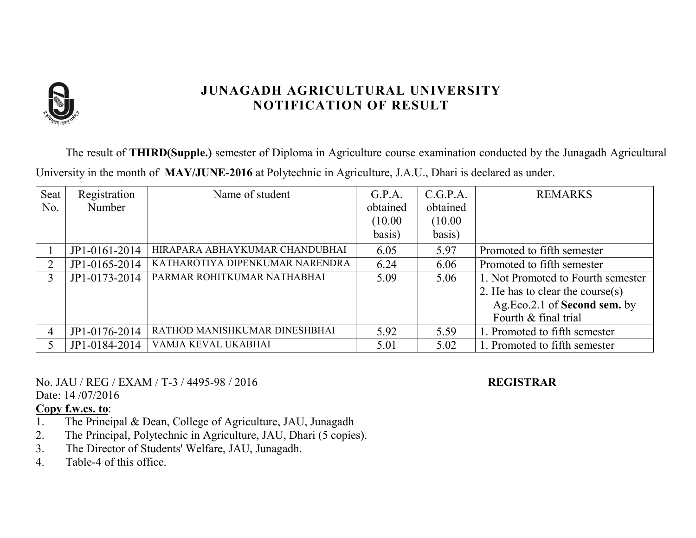

The result of **THIRD(Supple.)** semester of Diploma in Agriculture course examination conducted by the Junagadh Agricultural University in the month of **MAY/JUNE-2016** at Polytechnic in Agriculture, J.A.U., Dhari is declared as under.

| Seat           | Registration  | Name of student                 | G.P.A.   | C.G.P.A. | <b>REMARKS</b>                     |
|----------------|---------------|---------------------------------|----------|----------|------------------------------------|
| No.            | Number        |                                 | obtained | obtained |                                    |
|                |               |                                 | (10.00)  | (10.00)  |                                    |
|                |               |                                 | basis)   | basis)   |                                    |
|                | JP1-0161-2014 | HIRAPARA ABHAYKUMAR CHANDUBHAI  | 6.05     | 5.97     | Promoted to fifth semester         |
|                | JP1-0165-2014 | KATHAROTIYA DIPENKUMAR NARENDRA | 6.24     | 6.06     | Promoted to fifth semester         |
|                | JP1-0173-2014 | PARMAR ROHITKUMAR NATHABHAI     | 5.09     | 5.06     | 1. Not Promoted to Fourth semester |
|                |               |                                 |          |          | 2. He has to clear the course(s)   |
|                |               |                                 |          |          | Ag.Eco.2.1 of Second sem. by       |
|                |               |                                 |          |          | Fourth & final trial               |
| $\overline{4}$ | JP1-0176-2014 | RATHOD MANISHKUMAR DINESHBHAI   | 5.92     | 5.59     | 1. Promoted to fifth semester      |
|                | JP1-0184-2014 | VAMJA KEVAL UKABHAI             | 5.01     | 5.02     | 1. Promoted to fifth semester      |

No. JAU / REG / EXAM / T-3 / 4495-98 / 2016 **REGISTRAR**

Date: 14 /07/2016

- 1. The Principal & Dean, College of Agriculture, JAU, Junagadh
- 2. The Principal, Polytechnic in Agriculture, JAU, Dhari (5 copies).
- 3. The Director of Students' Welfare, JAU, Junagadh.
- 4. Table-4 of this office.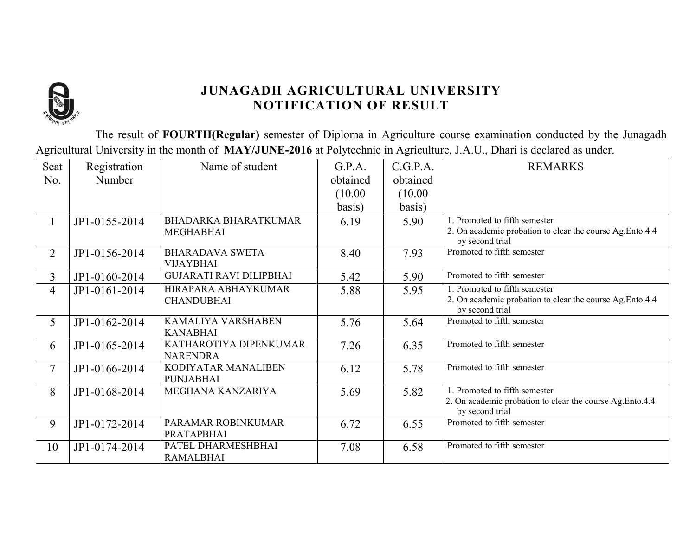

The result of **FOURTH(Regular)** semester of Diploma in Agriculture course examination conducted by the Junagadh Agricultural University in the month of **MAY/JUNE-2016** at Polytechnic in Agriculture, J.A.U., Dhari is declared as under.

| Seat           | Registration  | Name of student                           | G.P.A.   | C.G.P.A. | <b>REMARKS</b>                                                               |
|----------------|---------------|-------------------------------------------|----------|----------|------------------------------------------------------------------------------|
| No.            | Number        |                                           | obtained | obtained |                                                                              |
|                |               |                                           | (10.00)  | (10.00)  |                                                                              |
|                |               |                                           | basis)   | basis)   |                                                                              |
|                | JP1-0155-2014 | <b>BHADARKA BHARATKUMAR</b>               | 6.19     | 5.90     | 1. Promoted to fifth semester                                                |
|                |               | <b>MEGHABHAI</b>                          |          |          | 2. On academic probation to clear the course Ag. Ento.4.4<br>by second trial |
| $\overline{2}$ | JP1-0156-2014 | <b>BHARADAVA SWETA</b>                    | 8.40     | 7.93     | Promoted to fifth semester                                                   |
|                |               | <b>VIJAYBHAI</b>                          |          |          |                                                                              |
| 3              | JP1-0160-2014 | <b>GUJARATI RAVI DILIPBHAI</b>            | 5.42     | 5.90     | Promoted to fifth semester                                                   |
| 4              | JP1-0161-2014 | HIRAPARA ABHAYKUMAR                       | 5.88     | 5.95     | 1. Promoted to fifth semester                                                |
|                |               | <b>CHANDUBHAI</b>                         |          |          | 2. On academic probation to clear the course Ag. Ento.4.4<br>by second trial |
| 5              | JP1-0162-2014 | KAMALIYA VARSHABEN                        | 5.76     | 5.64     | Promoted to fifth semester                                                   |
|                |               | <b>KANABHAI</b>                           |          |          |                                                                              |
| 6              | JP1-0165-2014 | KATHAROTIYA DIPENKUMAR<br><b>NARENDRA</b> | 7.26     | 6.35     | Promoted to fifth semester                                                   |
| 7              | JP1-0166-2014 | KODIYATAR MANALIBEN<br><b>PUNJABHAI</b>   | 6.12     | 5.78     | Promoted to fifth semester                                                   |
| 8              | JP1-0168-2014 | MEGHANA KANZARIYA                         | 5.69     | 5.82     | 1. Promoted to fifth semester                                                |
|                |               |                                           |          |          | 2. On academic probation to clear the course Ag.Ento.4.4<br>by second trial  |
| 9              | JP1-0172-2014 | PARAMAR ROBINKUMAR                        | 6.72     | 6.55     | Promoted to fifth semester                                                   |
|                |               | PRATAPBHAI                                |          |          |                                                                              |
| 10             | JP1-0174-2014 | PATEL DHARMESHBHAI                        | 7.08     | 6.58     | Promoted to fifth semester                                                   |
|                |               | <b>RAMALBHAI</b>                          |          |          |                                                                              |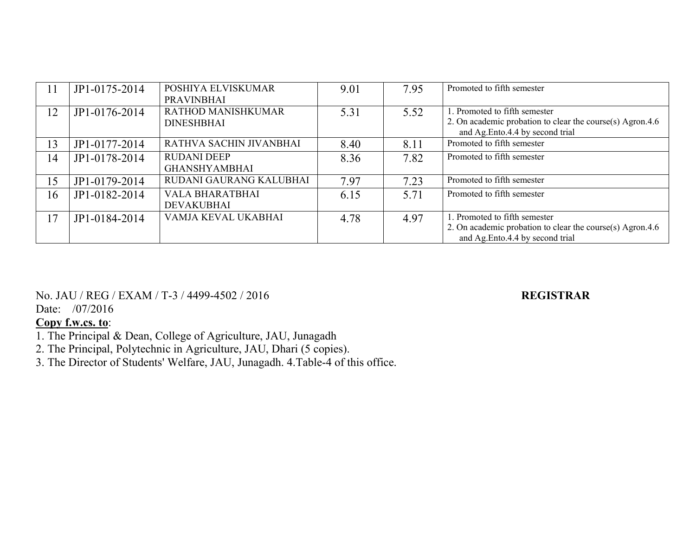| 11 | JP1-0175-2014 | POSHIYA ELVISKUMAR<br><b>PRAVINBHAI</b>        | 9.01 | 7.95 | Promoted to fifth semester                                                                                                    |
|----|---------------|------------------------------------------------|------|------|-------------------------------------------------------------------------------------------------------------------------------|
| 12 | JP1-0176-2014 | <b>RATHOD MANISHKUMAR</b><br><b>DINESHBHAI</b> | 5.31 | 5.52 | 1. Promoted to fifth semester<br>2. On academic probation to clear the course(s) Agron.4.6<br>and Ag.Ento.4.4 by second trial |
| 13 | JP1-0177-2014 | RATHVA SACHIN JIVANBHAI                        | 8.40 | 8.11 | Promoted to fifth semester                                                                                                    |
| 14 | JP1-0178-2014 | <b>RUDANI DEEP</b><br><b>GHANSHYAMBHAI</b>     | 8.36 | 7.82 | Promoted to fifth semester                                                                                                    |
| 15 | JP1-0179-2014 | RUDANI GAURANG KALUBHAI                        | 7.97 | 7.23 | Promoted to fifth semester                                                                                                    |
| 16 | JP1-0182-2014 | <b>VALA BHARATBHAI</b><br><b>DEVAKUBHAI</b>    | 6.15 | 5.71 | Promoted to fifth semester                                                                                                    |
| 17 | JP1-0184-2014 | VAMJA KEVAL UKABHAI                            | 4.78 | 4.97 | 1. Promoted to fifth semester<br>2. On academic probation to clear the course(s) Agron.4.6<br>and Ag.Ento.4.4 by second trial |

No. JAU / REG / EXAM / T-3 / 4499-4502 / 2016 **REGISTRAR**

Date: /07/2016

- 2. The Principal, Polytechnic in Agriculture, JAU, Dhari (5 copies).
- 3. The Director of Students' Welfare, JAU, Junagadh. 4.Table-4 of this office.

<sup>1.</sup> The Principal & Dean, College of Agriculture, JAU, Junagadh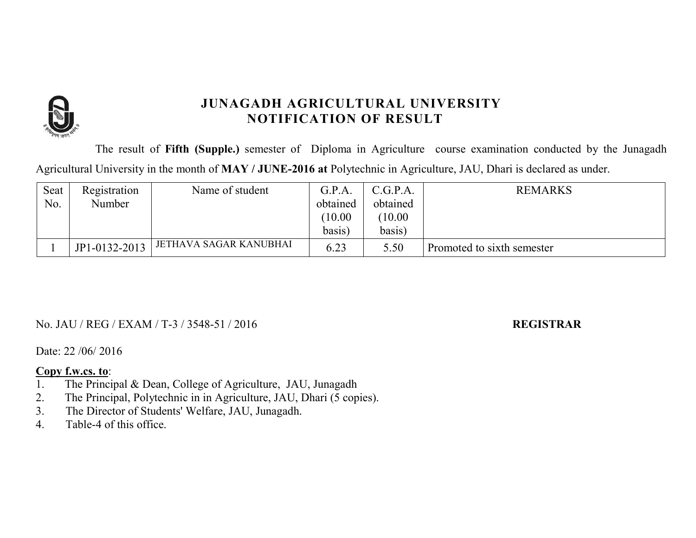

The result of **Fifth (Supple.)** semester of Diploma in Agriculture course examination conducted by the Junagadh Agricultural University in the month of **MAY / JUNE-2016 at** Polytechnic in Agriculture, JAU, Dhari is declared as under.

| Seat | Registration  | Name of student        | G.P.A    | C.G.P.A. | <b>REMARKS</b>             |
|------|---------------|------------------------|----------|----------|----------------------------|
| No.  | Number        |                        | obtained | obtained |                            |
|      |               |                        | 10.00    | 10.00    |                            |
|      |               |                        | basis)   | basis)   |                            |
|      | JP1-0132-2013 | JETHAVA SAGAR KANUBHAI | 6.23     | 5.50     | Promoted to sixth semester |

### No. JAU / REG / EXAM / T-3 / 3548-51 / 2016 **REGISTRAR**

Date: 22 /06/ 2016

- 1. The Principal & Dean, College of Agriculture, JAU, Junagadh
- 2. The Principal, Polytechnic in in Agriculture, JAU, Dhari (5 copies).
- 3. The Director of Students' Welfare, JAU, Junagadh.
- 4. Table-4 of this office.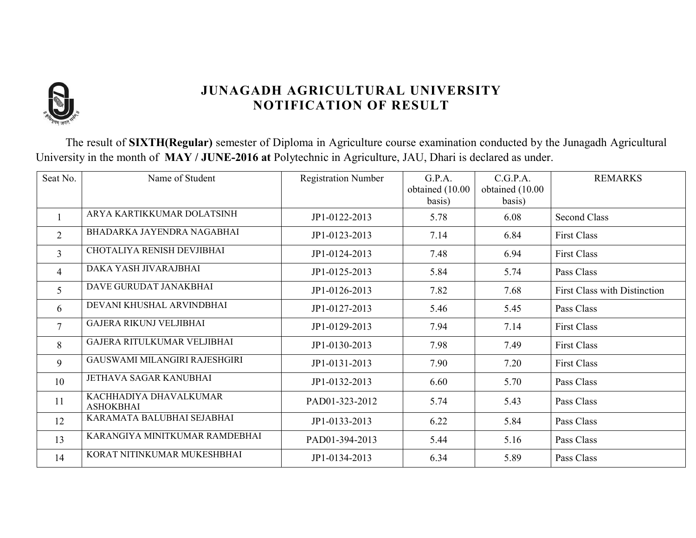

The result of **SIXTH(Regular)** semester of Diploma in Agriculture course examination conducted by the Junagadh Agricultural University in the month of **MAY / JUNE-2016 at** Polytechnic in Agriculture, JAU, Dhari is declared as under.

| Seat No.       | Name of Student                            | <b>Registration Number</b> | G.P.A.<br>obtained (10.00 | C.G.P.A.<br>obtained (10.00 | <b>REMARKS</b>                      |
|----------------|--------------------------------------------|----------------------------|---------------------------|-----------------------------|-------------------------------------|
|                |                                            |                            | basis)                    | basis)                      |                                     |
|                | ARYA KARTIKKUMAR DOLATSINH                 | JP1-0122-2013              | 5.78                      | 6.08                        | <b>Second Class</b>                 |
| $\overline{2}$ | BHADARKA JAYENDRA NAGABHAI                 | JP1-0123-2013              | 7.14                      | 6.84                        | <b>First Class</b>                  |
| $\overline{3}$ | CHOTALIYA RENISH DEVJIBHAI                 | JP1-0124-2013              | 7.48                      | 6.94                        | <b>First Class</b>                  |
| 4              | DAKA YASH JIVARAJBHAI                      | JP1-0125-2013              | 5.84                      | 5.74                        | Pass Class                          |
| $\mathfrak{S}$ | DAVE GURUDAT JANAKBHAI                     | JP1-0126-2013              | 7.82                      | 7.68                        | <b>First Class with Distinction</b> |
| 6              | DEVANI KHUSHAL ARVINDBHAI                  | JP1-0127-2013              | 5.46                      | 5.45                        | Pass Class                          |
| $\tau$         | <b>GAJERA RIKUNJ VELJIBHAI</b>             | JP1-0129-2013              | 7.94                      | 7.14                        | <b>First Class</b>                  |
| 8              | <b>GAJERA RITULKUMAR VELJIBHAI</b>         | JP1-0130-2013              | 7.98                      | 7.49                        | <b>First Class</b>                  |
| 9              | GAUSWAMI MILANGIRI RAJESHGIRI              | JP1-0131-2013              | 7.90                      | 7.20                        | <b>First Class</b>                  |
| 10             | JETHAVA SAGAR KANUBHAI                     | JP1-0132-2013              | 6.60                      | 5.70                        | Pass Class                          |
| 11             | KACHHADIYA DHAVALKUMAR<br><b>ASHOKBHAI</b> | PAD01-323-2012             | 5.74                      | 5.43                        | Pass Class                          |
| 12             | KARAMATA BALUBHAI SEJABHAI                 | JP1-0133-2013              | 6.22                      | 5.84                        | Pass Class                          |
| 13             | KARANGIYA MINITKUMAR RAMDEBHAI             | PAD01-394-2013             | 5.44                      | 5.16                        | Pass Class                          |
| 14             | KORAT NITINKUMAR MUKESHBHAI                | JP1-0134-2013              | 6.34                      | 5.89                        | Pass Class                          |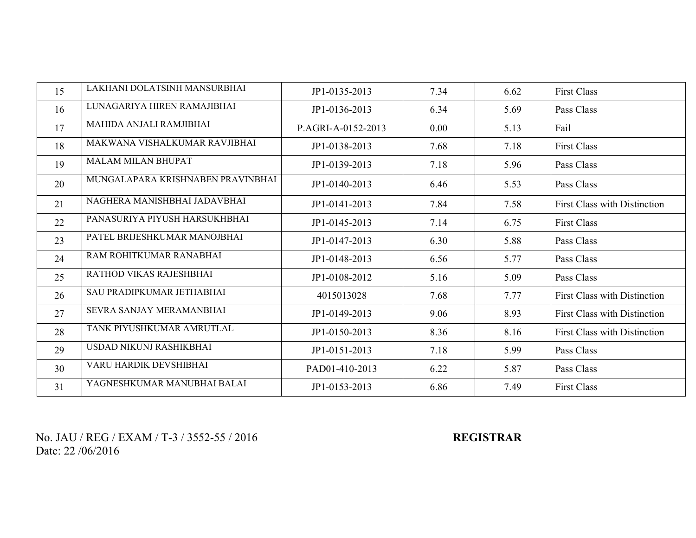| 15 | LAKHANI DOLATSINH MANSURBHAI      | JP1-0135-2013      | 7.34 | 6.62 | <b>First Class</b>                  |
|----|-----------------------------------|--------------------|------|------|-------------------------------------|
| 16 | LUNAGARIYA HIREN RAMAJIBHAI       | JP1-0136-2013      | 6.34 | 5.69 | Pass Class                          |
| 17 | MAHIDA ANJALI RAMJIBHAI           | P.AGRI-A-0152-2013 | 0.00 | 5.13 | Fail                                |
| 18 | MAKWANA VISHALKUMAR RAVJIBHAI     | JP1-0138-2013      | 7.68 | 7.18 | <b>First Class</b>                  |
| 19 | <b>MALAM MILAN BHUPAT</b>         | JP1-0139-2013      | 7.18 | 5.96 | Pass Class                          |
| 20 | MUNGALAPARA KRISHNABEN PRAVINBHAI | JP1-0140-2013      | 6.46 | 5.53 | Pass Class                          |
| 21 | NAGHERA MANISHBHAI JADAVBHAI      | JP1-0141-2013      | 7.84 | 7.58 | <b>First Class with Distinction</b> |
| 22 | PANASURIYA PIYUSH HARSUKHBHAI     | JP1-0145-2013      | 7.14 | 6.75 | <b>First Class</b>                  |
| 23 | PATEL BRIJESHKUMAR MANOJBHAI      | JP1-0147-2013      | 6.30 | 5.88 | Pass Class                          |
| 24 | RAM ROHITKUMAR RANABHAI           | JP1-0148-2013      | 6.56 | 5.77 | Pass Class                          |
| 25 | RATHOD VIKAS RAJESHBHAI           | JP1-0108-2012      | 5.16 | 5.09 | Pass Class                          |
| 26 | SAU PRADIPKUMAR JETHABHAI         | 4015013028         | 7.68 | 7.77 | <b>First Class with Distinction</b> |
| 27 | SEVRA SANJAY MERAMANBHAI          | JP1-0149-2013      | 9.06 | 8.93 | <b>First Class with Distinction</b> |
| 28 | TANK PIYUSHKUMAR AMRUTLAL         | JP1-0150-2013      | 8.36 | 8.16 | <b>First Class with Distinction</b> |
| 29 | USDAD NIKUNJ RASHIKBHAI           | JP1-0151-2013      | 7.18 | 5.99 | Pass Class                          |
| 30 | VARU HARDIK DEVSHIBHAI            | PAD01-410-2013     | 6.22 | 5.87 | Pass Class                          |
| 31 | YAGNESHKUMAR MANUBHAI BALAI       | JP1-0153-2013      | 6.86 | 7.49 | <b>First Class</b>                  |

No. JAU / REG / EXAM / T-3 / 3552-55 / 2016 **REGISTRAR** Date: 22 /06/2016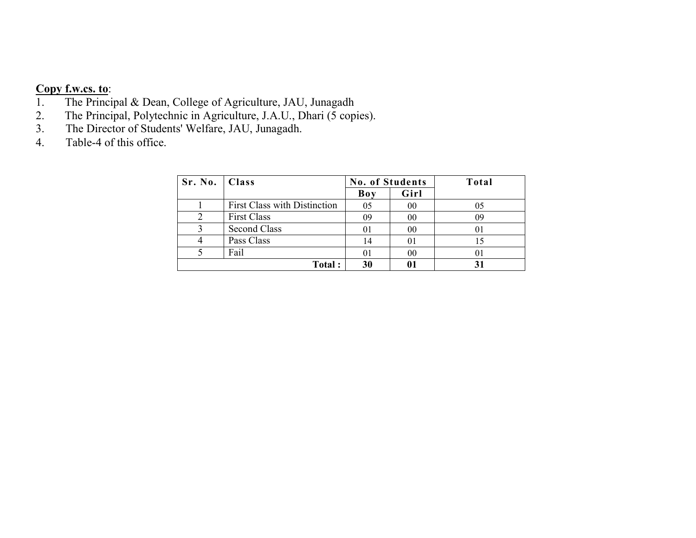# **Copy f.w.cs. to:**<br>1. The Princip

- 1. The Principal & Dean, College of Agriculture, JAU, Junagadh<br>2. The Principal, Polytechnic in Agriculture, J.A.U., Dhari (5 copi
- 2. The Principal, Polytechnic in Agriculture, J.A.U., Dhari (5 copies).
- 3. The Director of Students' Welfare, JAU, Junagadh.
- 4. Table-4 of this office.

| Sr. No.   Class |                                     | <b>No. of Students</b> |                | Total |
|-----------------|-------------------------------------|------------------------|----------------|-------|
|                 |                                     | Boy                    | Girl           |       |
|                 | <b>First Class with Distinction</b> | 05                     | 00             | 05    |
|                 | <b>First Class</b>                  | 09                     | 00             | 09    |
|                 | <b>Second Class</b>                 | 01                     | 00             |       |
|                 | Pass Class                          | 14                     | 01             |       |
|                 | Fail                                | $\Omega$               | 0 <sub>0</sub> | 01    |
|                 | Total:                              | 30                     | 01             |       |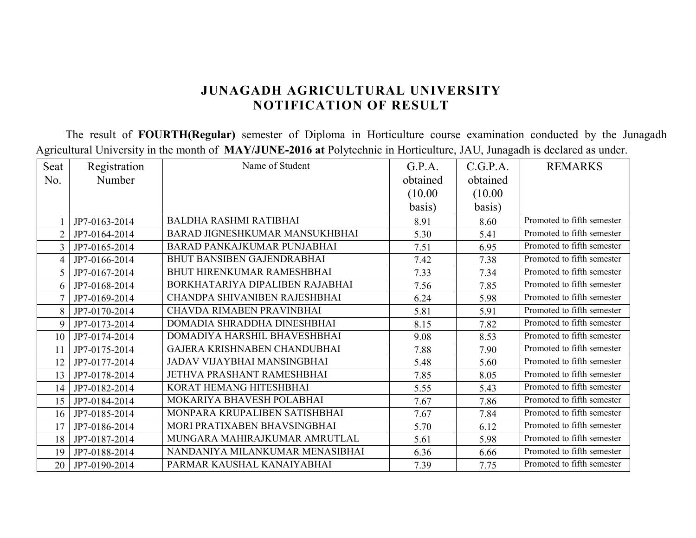The result of **FOURTH(Regular)** semester of Diploma in Horticulture course examination conducted by the Junagadh Agricultural University in the month of **MAY/JUNE-2016 at** Polytechnic in Horticulture, JAU, Junagadh is declared as under.

| Seat           | Registration  | Name of Student                   | G.P.A.   | C.G.P.A. | <b>REMARKS</b>             |
|----------------|---------------|-----------------------------------|----------|----------|----------------------------|
| No.            | Number        |                                   | obtained | obtained |                            |
|                |               |                                   | (10.00)  | (10.00)  |                            |
|                |               |                                   | basis)   | basis)   |                            |
|                | JP7-0163-2014 | <b>BALDHA RASHMI RATIBHAI</b>     | 8.91     | 8.60     | Promoted to fifth semester |
| $\overline{2}$ | JP7-0164-2014 | BARAD JIGNESHKUMAR MANSUKHBHAI    | 5.30     | 5.41     | Promoted to fifth semester |
| 3              | JP7-0165-2014 | BARAD PANKAJKUMAR PUNJABHAI       | 7.51     | 6.95     | Promoted to fifth semester |
| 4              | JP7-0166-2014 | <b>BHUT BANSIBEN GAJENDRABHAI</b> | 7.42     | 7.38     | Promoted to fifth semester |
| 5              | JP7-0167-2014 | <b>BHUT HIRENKUMAR RAMESHBHAI</b> | 7.33     | 7.34     | Promoted to fifth semester |
| 6              | JP7-0168-2014 | BORKHATARIYA DIPALIBEN RAJABHAI   | 7.56     | 7.85     | Promoted to fifth semester |
|                | JP7-0169-2014 | CHANDPA SHIVANIBEN RAJESHBHAI     | 6.24     | 5.98     | Promoted to fifth semester |
| 8              | JP7-0170-2014 | CHAVDA RIMABEN PRAVINBHAI         | 5.81     | 5.91     | Promoted to fifth semester |
| 9              | JP7-0173-2014 | DOMADIA SHRADDHA DINESHBHAI       | 8.15     | 7.82     | Promoted to fifth semester |
| 10             | JP7-0174-2014 | DOMADIYA HARSHIL BHAVESHBHAI      | 9.08     | 8.53     | Promoted to fifth semester |
| 11             | JP7-0175-2014 | GAJERA KRISHNABEN CHANDUBHAI      | 7.88     | 7.90     | Promoted to fifth semester |
| 12             | JP7-0177-2014 | JADAV VIJAYBHAI MANSINGBHAI       | 5.48     | 5.60     | Promoted to fifth semester |
| 13             | JP7-0178-2014 | JETHVA PRASHANT RAMESHBHAI        | 7.85     | 8.05     | Promoted to fifth semester |
| 14             | JP7-0182-2014 | KORAT HEMANG HITESHBHAI           | 5.55     | 5.43     | Promoted to fifth semester |
| 15             | JP7-0184-2014 | MOKARIYA BHAVESH POLABHAI         | 7.67     | 7.86     | Promoted to fifth semester |
| 16             | JP7-0185-2014 | MONPARA KRUPALIBEN SATISHBHAI     | 7.67     | 7.84     | Promoted to fifth semester |
| 17             | JP7-0186-2014 | MORI PRATIXABEN BHAVSINGBHAI      | 5.70     | 6.12     | Promoted to fifth semester |
| 18             | JP7-0187-2014 | MUNGARA MAHIRAJKUMAR AMRUTLAL     | 5.61     | 5.98     | Promoted to fifth semester |
| 19             | JP7-0188-2014 | NANDANIYA MILANKUMAR MENASIBHAI   | 6.36     | 6.66     | Promoted to fifth semester |
| 20             | JP7-0190-2014 | PARMAR KAUSHAL KANAIYABHAI        | 7.39     | 7.75     | Promoted to fifth semester |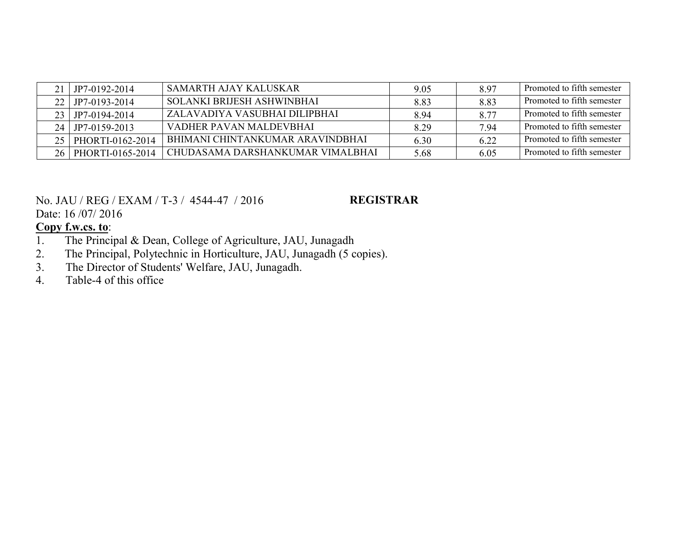|    | JP7-0192-2014    | SAMARTH AJAY KALUSKAR            | 9.05  | 897  | Promoted to fifth semester |
|----|------------------|----------------------------------|-------|------|----------------------------|
|    | JP7-0193-2014    | SOLANKI BRIJESH ASHWINBHAI       | 8.83  | 8.83 | Promoted to fifth semester |
|    | JP7-0194-2014    | ZALAVADIYA VASUBHAI DILIPBHAI    | 8.94  | 8.77 | Promoted to fifth semester |
| 24 | JP7-0159-2013    | VADHER PAVAN MALDEVBHAI          | 8 2 9 | 7 94 | Promoted to fifth semester |
|    | PHORTI-0162-2014 | BHIMANI CHINTANKUMAR ARAVINDBHAI | 6.30  | 6.22 | Promoted to fifth semester |
|    | PHORTI-0165-2014 | CHUDASAMA DARSHANKUMAR VIMALBHAI | 5.68  | 6.05 | Promoted to fifth semester |

No. JAU / REG / EXAM / T-3 / 4544-47 / 2016

#### **REGISTRAR**

Date: 16 /07/ 2016

- 1. The Principal & Dean, College of Agriculture, JAU, Junagadh<br>2. The Principal, Polytechnic in Horticulture, JAU, Junagadh (5 co
- 2. The Principal, Polytechnic in Horticulture, JAU, Junagadh (5 copies).<br>3. The Director of Students' Welfare, JAU, Junagadh.
- 3. The Director of Students' Welfare, JAU, Junagadh.<br>4. Table-4 of this office
- Table-4 of this office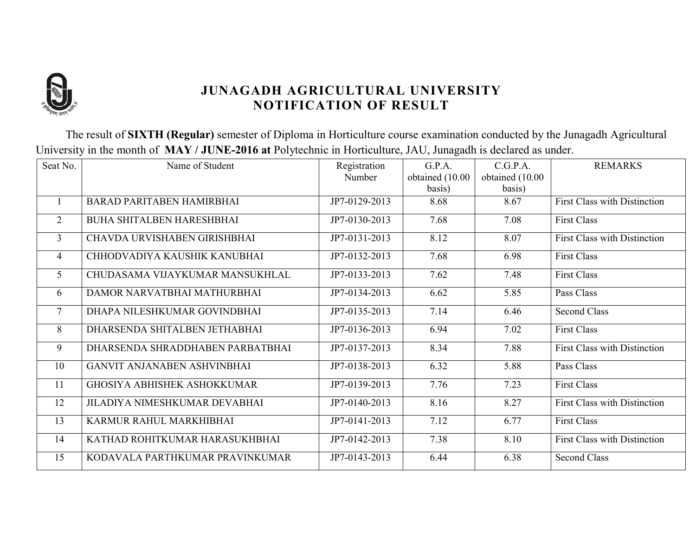

The result of **SIXTH (Regular)** semester of Diploma in Horticulture course examination conducted by the Junagadh Agricultural University in the month of **MAY / JUNE-2016 at** Polytechnic in Horticulture, JAU, Junagadh is declared as under.

| Seat No.        | Name of Student                    | Registration  | G.P.A.          | C.G.P.A.        | <b>REMARKS</b>                      |
|-----------------|------------------------------------|---------------|-----------------|-----------------|-------------------------------------|
|                 |                                    | Number        | obtained (10.00 | obtained (10.00 |                                     |
|                 |                                    |               | basis)          | basis)          |                                     |
| $\overline{1}$  | <b>BARAD PARITABEN HAMIRBHAI</b>   | JP7-0129-2013 | 8.68            | 8.67            | <b>First Class with Distinction</b> |
| $\overline{2}$  | BUHA SHITALBEN HARESHBHAI          | JP7-0130-2013 | 7.68            | 7.08            | <b>First Class</b>                  |
| 3               | CHAVDA URVISHABEN GIRISHBHAI       | JP7-0131-2013 | 8.12            | 8.07            | <b>First Class with Distinction</b> |
| $\overline{4}$  | CHHODVADIYA KAUSHIK KANUBHAI       | JP7-0132-2013 | 7.68            | 6.98            | <b>First Class</b>                  |
| 5               | CHUDASAMA VIJAYKUMAR MANSUKHLAL    | JP7-0133-2013 | 7.62            | 7.48            | <b>First Class</b>                  |
| 6               | DAMOR NARVATBHAI MATHURBHAI        | JP7-0134-2013 | 6.62            | 5.85            | Pass Class                          |
| $7\phantom{.0}$ | DHAPA NILESHKUMAR GOVINDBHAI       | JP7-0135-2013 | 7.14            | 6.46            | <b>Second Class</b>                 |
| 8               | DHARSENDA SHITALBEN JETHABHAI      | JP7-0136-2013 | 6.94            | 7.02            | <b>First Class</b>                  |
| 9               | DHARSENDA SHRADDHABEN PARBATBHAI   | JP7-0137-2013 | 8.34            | 7.88            | <b>First Class with Distinction</b> |
| 10              | <b>GANVIT ANJANABEN ASHVINBHAI</b> | JP7-0138-2013 | 6.32            | 5.88            | Pass Class                          |
| 11              | <b>GHOSIYA ABHISHEK ASHOKKUMAR</b> | JP7-0139-2013 | 7.76            | 7.23            | <b>First Class</b>                  |
| 12              | JILADIYA NIMESHKUMAR DEVABHAI      | JP7-0140-2013 | 8.16            | 8.27            | <b>First Class with Distinction</b> |
| 13              | KARMUR RAHUL MARKHIBHAI            | JP7-0141-2013 | 7.12            | 6.77            | <b>First Class</b>                  |
| 14              | KATHAD ROHITKUMAR HARASUKHBHAI     | JP7-0142-2013 | 7.38            | 8.10            | <b>First Class with Distinction</b> |
| 15              | KODAVALA PARTHKUMAR PRAVINKUMAR    | JP7-0143-2013 | 6.44            | 6.38            | <b>Second Class</b>                 |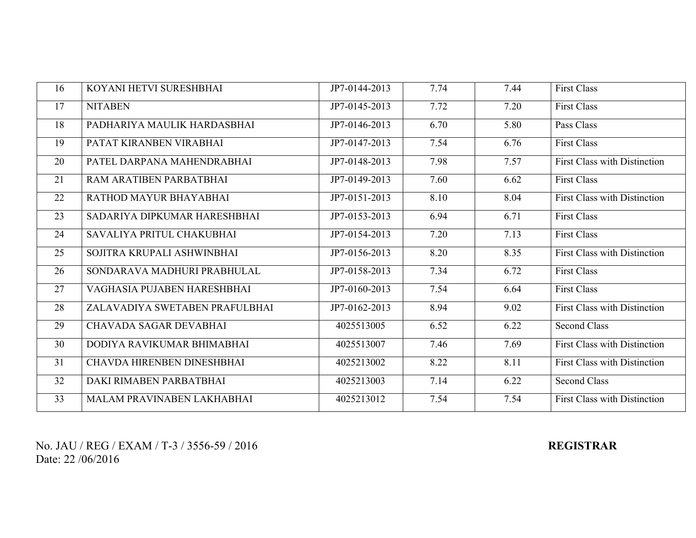| 16 | KOYANI HETVI SURESHBHAI        | JP7-0144-2013 | 7.74 | 7.44 | <b>First Class</b>                  |
|----|--------------------------------|---------------|------|------|-------------------------------------|
| 17 | <b>NITABEN</b>                 | JP7-0145-2013 | 7.72 | 7.20 | <b>First Class</b>                  |
| 18 | PADHARIYA MAULIK HARDASBHAI    | JP7-0146-2013 | 6.70 | 5.80 | Pass Class                          |
| 19 | PATAT KIRANBEN VIRABHAI        | JP7-0147-2013 | 7.54 | 6.76 | <b>First Class</b>                  |
| 20 | PATEL DARPANA MAHENDRABHAI     | JP7-0148-2013 | 7.98 | 7.57 | <b>First Class with Distinction</b> |
| 21 | RAM ARATIBEN PARBATBHAI        | JP7-0149-2013 | 7.60 | 6.62 | <b>First Class</b>                  |
| 22 | RATHOD MAYUR BHAYABHAI         | JP7-0151-2013 | 8.10 | 8.04 | First Class with Distinction        |
| 23 | SADARIYA DIPKUMAR HARESHBHAI   | JP7-0153-2013 | 6.94 | 6.71 | <b>First Class</b>                  |
| 24 | SAVALIYA PRITUL CHAKUBHAI      | JP7-0154-2013 | 7.20 | 7.13 | <b>First Class</b>                  |
| 25 | SOJITRA KRUPALI ASHWINBHAI     | JP7-0156-2013 | 8.20 | 8.35 | <b>First Class with Distinction</b> |
| 26 | SONDARAVA MADHURI PRABHULAL    | JP7-0158-2013 | 7.34 | 6.72 | <b>First Class</b>                  |
| 27 | VAGHASIA PUJABEN HARESHBHAI    | JP7-0160-2013 | 7.54 | 6.64 | <b>First Class</b>                  |
| 28 | ZALAVADIYA SWETABEN PRAFULBHAI | JP7-0162-2013 | 8.94 | 9.02 | First Class with Distinction        |
| 29 | CHAVADA SAGAR DEVABHAI         | 4025513005    | 6.52 | 6.22 | <b>Second Class</b>                 |
| 30 | DODIYA RAVIKUMAR BHIMABHAI     | 4025513007    | 7.46 | 7.69 | <b>First Class with Distinction</b> |
| 31 | CHAVDA HIRENBEN DINESHBHAI     | 4025213002    | 8.22 | 8.11 | <b>First Class with Distinction</b> |
| 32 | DAKI RIMABEN PARBATBHAI        | 4025213003    | 7.14 | 6.22 | <b>Second Class</b>                 |
| 33 | MALAM PRAVINABEN LAKHABHAI     | 4025213012    | 7.54 | 7.54 | <b>First Class with Distinction</b> |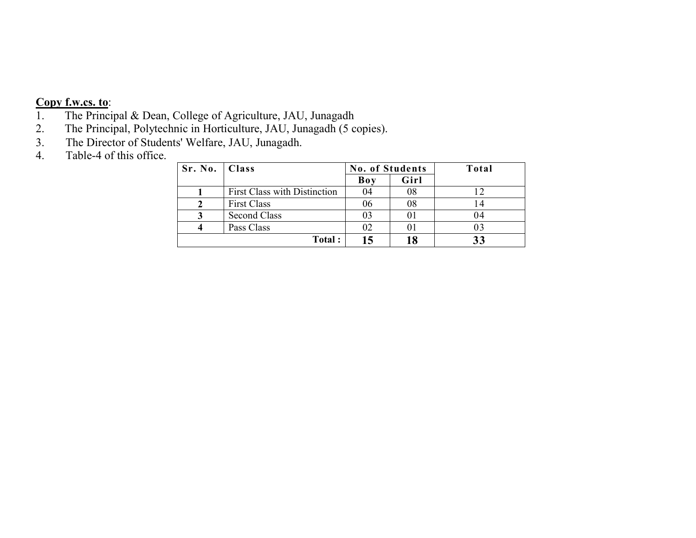- 1. The Principal & Dean, College of Agriculture, JAU, Junagadh
- 2. The Principal, Polytechnic in Horticulture, JAU, Junagadh (5 copies).<br>3. The Director of Students' Welfare, JAU, Junagadh.
- The Director of Students' Welfare, JAU, Junagadh.
- 4. Table-4 of this office.

| Sr. No.   Class |                                     | <b>No. of Students</b> |      | Total |
|-----------------|-------------------------------------|------------------------|------|-------|
|                 |                                     | <b>Boy</b>             | Girl |       |
|                 | <b>First Class with Distinction</b> | 04                     | 08   |       |
|                 | <b>First Class</b>                  | 06                     | 08   |       |
|                 | <b>Second Class</b>                 | 03                     | 01   | .)4   |
|                 | Pass Class                          | 02                     | 01   |       |
|                 | Total:                              |                        | 18   |       |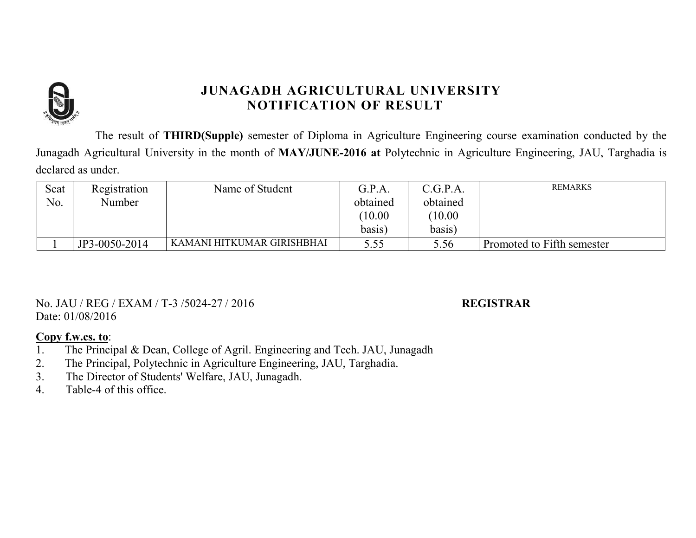

The result of **THIRD(Supple)** semester of Diploma in Agriculture Engineering course examination conducted by the Junagadh Agricultural University in the month of **MAY/JUNE-2016 at** Polytechnic in Agriculture Engineering, JAU, Targhadia is declared as under.

| Seat | Registration  | Name of Student            | G.P.A.   | C.G.P.A. | <b>REMARKS</b>             |
|------|---------------|----------------------------|----------|----------|----------------------------|
| No.  | Number        |                            | obtained | obtained |                            |
|      |               |                            | 10.00    | 10.00    |                            |
|      |               |                            | basis)   | basis)   |                            |
|      | JP3-0050-2014 | KAMANI HITKUMAR GIRISHBHAI | 5.55     | 5.56     | Promoted to Fifth semester |

No. JAU / REG / EXAM / T-3 /5024-27 / 2016 **REGISTRAR** Date: 01/08/2016

- 1. The Principal & Dean, College of Agril. Engineering and Tech. JAU, Junagadh
- 2. The Principal, Polytechnic in Agriculture Engineering, JAU, Targhadia.
- 3. The Director of Students' Welfare, JAU, Junagadh.
- 4. Table-4 of this office.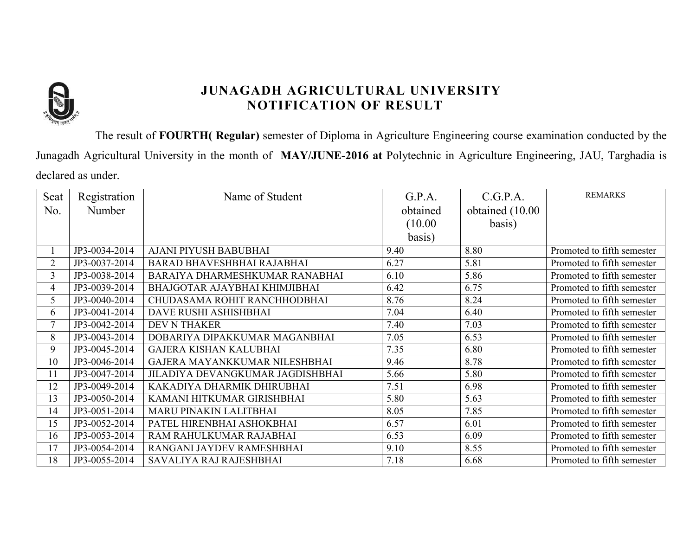

The result of **FOURTH( Regular)** semester of Diploma in Agriculture Engineering course examination conducted by the Junagadh Agricultural University in the month of **MAY/JUNE-2016 at** Polytechnic in Agriculture Engineering, JAU, Targhadia is declared as under.

| Seat           | Registration  | Name of Student                  | G.P.A.   | C.G.P.A.         | <b>REMARKS</b>             |
|----------------|---------------|----------------------------------|----------|------------------|----------------------------|
| No.            | Number        |                                  | obtained | obtained (10.00) |                            |
|                |               |                                  | (10.00)  | basis)           |                            |
|                |               |                                  | basis)   |                  |                            |
|                | JP3-0034-2014 | AJANI PIYUSH BABUBHAI            | 9.40     | 8.80             | Promoted to fifth semester |
| $\overline{2}$ | JP3-0037-2014 | BARAD BHAVESHBHAI RAJABHAI       | 6.27     | 5.81             | Promoted to fifth semester |
| 3              | JP3-0038-2014 | BARAIYA DHARMESHKUMAR RANABHAI   | 6.10     | 5.86             | Promoted to fifth semester |
| 4              | JP3-0039-2014 | BHAJGOTAR AJAYBHAI KHIMJIBHAI    | 6.42     | 6.75             | Promoted to fifth semester |
| 5              | JP3-0040-2014 | CHUDASAMA ROHIT RANCHHODBHAI     | 8.76     | 8.24             | Promoted to fifth semester |
| 6              | JP3-0041-2014 | DAVE RUSHI ASHISHBHAI            | 7.04     | 6.40             | Promoted to fifth semester |
| $\tau$         | JP3-0042-2014 | <b>DEV N THAKER</b>              | 7.40     | 7.03             | Promoted to fifth semester |
| 8              | JP3-0043-2014 | DOBARIYA DIPAKKUMAR MAGANBHAI    | 7.05     | 6.53             | Promoted to fifth semester |
| 9              | JP3-0045-2014 | <b>GAJERA KISHAN KALUBHAI</b>    | 7.35     | 6.80             | Promoted to fifth semester |
| 10             | JP3-0046-2014 | GAJERA MAYANKKUMAR NILESHBHAI    | 9.46     | 8.78             | Promoted to fifth semester |
| 11             | JP3-0047-2014 | JILADIYA DEVANGKUMAR JAGDISHBHAI | 5.66     | 5.80             | Promoted to fifth semester |
| 12             | JP3-0049-2014 | KAKADIYA DHARMIK DHIRUBHAI       | 7.51     | 6.98             | Promoted to fifth semester |
| 13             | JP3-0050-2014 | KAMANI HITKUMAR GIRISHBHAI       | 5.80     | 5.63             | Promoted to fifth semester |
| 14             | JP3-0051-2014 | MARU PINAKIN LALITBHAI           | 8.05     | 7.85             | Promoted to fifth semester |
| 15             | JP3-0052-2014 | PATEL HIRENBHAI ASHOKBHAI        | 6.57     | 6.01             | Promoted to fifth semester |
| 16             | JP3-0053-2014 | RAM RAHULKUMAR RAJABHAI          | 6.53     | 6.09             | Promoted to fifth semester |
| 17             | JP3-0054-2014 | RANGANI JAYDEV RAMESHBHAI        | 9.10     | 8.55             | Promoted to fifth semester |
| 18             | JP3-0055-2014 | SAVALIYA RAJ RAJESHBHAI          | 7.18     | 6.68             | Promoted to fifth semester |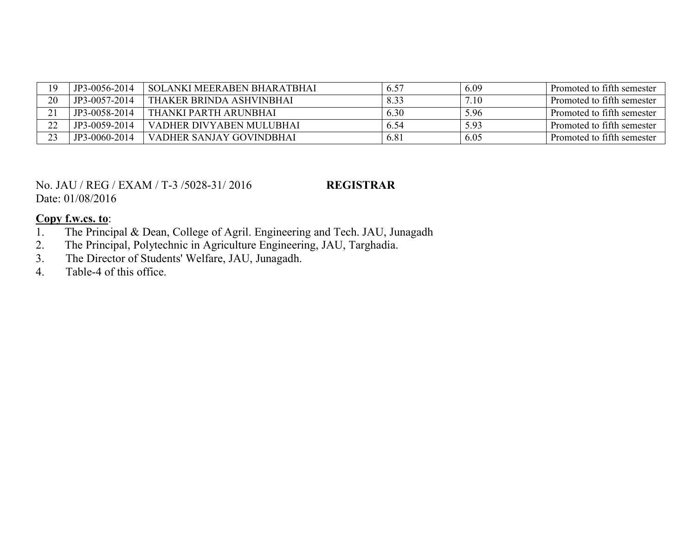|    | JP3-0056-2014 | SOLANKI MEERABEN BHARATBHAI | 6.57 | 6.09 | Promoted to fifth semester |
|----|---------------|-----------------------------|------|------|----------------------------|
| 20 | JP3-0057-2014 | THAKER BRINDA ASHVINBHAI    | 8.33 | 7.10 | Promoted to fifth semester |
|    | JP3-0058-2014 | THANKI PARTH ARUNBHAI       | 6.30 | 5.96 | Promoted to fifth semester |
| 22 | JP3-0059-2014 | VADHER DIVYABEN MULUBHAI    | 6.54 | 5.93 | Promoted to fifth semester |
|    | JP3-0060-2014 | VADHER SANJAY GOVINDBHAI    | 6.81 | 6.05 | Promoted to fifth semester |

#### No. JAU / REG / EXAM / T-3 /5028-31/ 2016 **REGISTRAR** Date: 01/08/2016

- 1. The Principal & Dean, College of Agril. Engineering and Tech. JAU, Junagadh
- 2. The Principal, Polytechnic in Agriculture Engineering, JAU, Targhadia.<br>3. The Director of Students' Welfare, JAU, Junagadh.
- 3. The Director of Students' Welfare, JAU, Junagadh.<br>4. Table-4 of this office.
- Table-4 of this office.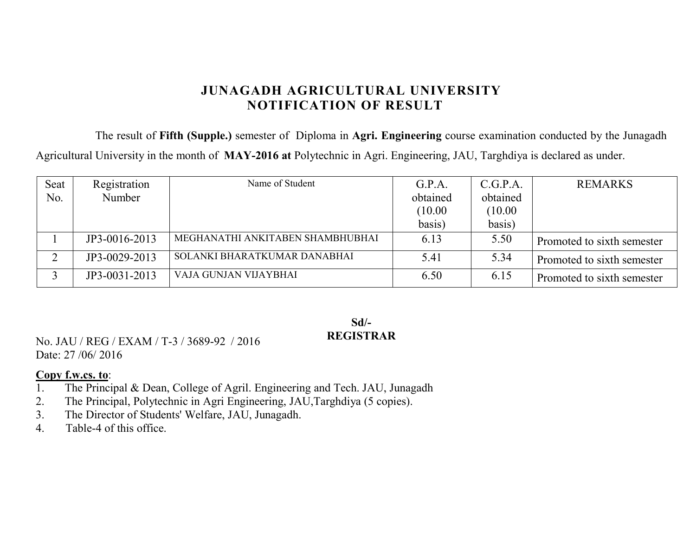The result of **Fifth (Supple.)** semester of Diploma in **Agri. Engineering** course examination conducted by the Junagadh Agricultural University in the month of **MAY-2016 at** Polytechnic in Agri. Engineering, JAU, Targhdiya is declared as under.

| Seat | Registration  | Name of Student                  | G.P.A.   | C.G.P.A. | <b>REMARKS</b>             |
|------|---------------|----------------------------------|----------|----------|----------------------------|
| No.  | Number        |                                  | obtained | obtained |                            |
|      |               |                                  | (10.00)  | (10.00)  |                            |
|      |               |                                  | basis)   | basis)   |                            |
|      | JP3-0016-2013 | MEGHANATHI ANKITABEN SHAMBHUBHAI | 6.13     | 5.50     | Promoted to sixth semester |
| ⌒    | JP3-0029-2013 | SOLANKI BHARATKUMAR DANABHAI     | 5.41     | 5.34     | Promoted to sixth semester |
|      | JP3-0031-2013 | VAJA GUNJAN VIJAYBHAI            | 6.50     | 6.15     | Promoted to sixth semester |

### **Sd/- REGISTRAR**

No. JAU / REG / EXAM / T-3 / 3689-92 / 2016 Date: 27/06/2016

- 1. The Principal & Dean, College of Agril. Engineering and Tech. JAU, Junagadh
- 2. The Principal, Polytechnic in Agri Engineering, JAU, Targhdiya (5 copies).<br>3. The Director of Students' Welfare, JAU, Junagadh.
- 3. The Director of Students' Welfare, JAU, Junagadh.
- 4. Table-4 of this office.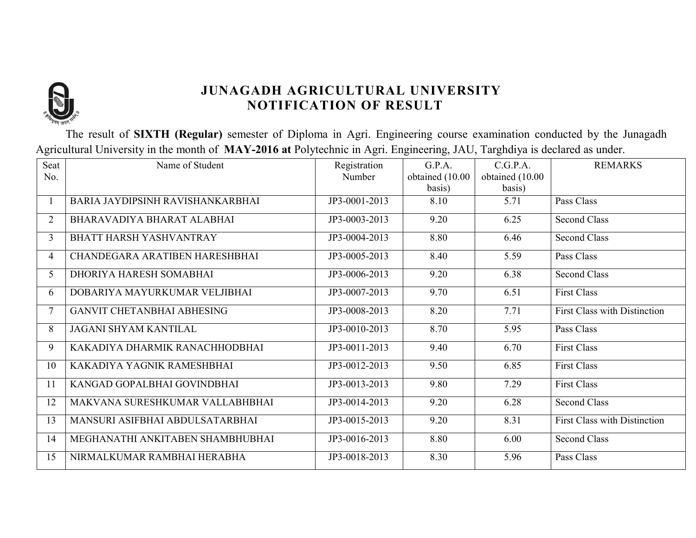

The result of **SIXTH (Regular)** semester of Diploma in Agri. Engineering course examination conducted by the Junagadh Agricultural University in the month of **MAY-2016 at** Polytechnic in Agri. Engineering, JAU, Targhdiya is declared as under.

| Seat           | Name of Student                   | Registration                | G.P.A.          | C.G.P.A.        | <b>REMARKS</b>                      |
|----------------|-----------------------------------|-----------------------------|-----------------|-----------------|-------------------------------------|
| No.            |                                   | Number                      | obtained (10.00 | obtained (10.00 |                                     |
|                |                                   |                             | basis)          | basis)          |                                     |
|                | BARIA JAYDIPSINH RAVISHANKARBHAI  | JP3-0001-2013               | 8.10            | 5.71            | Pass Class                          |
| $\overline{2}$ | BHARAVADIYA BHARAT ALABHAI        | JP3-0003-2013               | 9.20            | 6.25            | <b>Second Class</b>                 |
| 3              | BHATT HARSH YASHVANTRAY           | JP3-0004-2013               | 8.80            | 6.46            | <b>Second Class</b>                 |
| $\overline{4}$ | CHANDEGARA ARATIBEN HARESHBHAI    | JP3-0005-2013               | 8.40            | 5.59            | Pass Class                          |
| 5 <sup>1</sup> | DHORIYA HARESH SOMABHAI           | JP3-0006-2013               | 9.20            | 6.38            | <b>Second Class</b>                 |
| 6              | DOBARIYA MAYURKUMAR VELJIBHAI     | JP3-0007-2013               | 9.70            | 6.51            | <b>First Class</b>                  |
| 7              | <b>GANVIT CHETANBHAI ABHESING</b> | JP3-0008-2013               | 8.20            | 7.71            | <b>First Class with Distinction</b> |
| 8              | <b>JAGANI SHYAM KANTILAL</b>      | JP3-0010-2013               | 8.70            | 5.95            | Pass Class                          |
| 9              | KAKADIYA DHARMIK RANACHHODBHAI    | JP3-0011-2013               | 9.40            | 6.70            | <b>First Class</b>                  |
| 10             | KAKADIYA YAGNIK RAMESHBHAI        | $\overline{JP}$ 3-0012-2013 | 9.50            | 6.85            | <b>First Class</b>                  |
| 11             | KANGAD GOPALBHAI GOVINDBHAI       | JP3-0013-2013               | 9.80            | 7.29            | <b>First Class</b>                  |
| 12             | MAKVANA SURESHKUMAR VALLABHBHAI   | JP3-0014-2013               | 9.20            | 6.28            | <b>Second Class</b>                 |
| 13             | MANSURI ASIFBHAI ABDULSATARBHAI   | JP3-0015-2013               | 9.20            | 8.31            | <b>First Class with Distinction</b> |
| 14             | MEGHANATHI ANKITABEN SHAMBHUBHAI  | JP3-0016-2013               | 8.80            | 6.00            | Second Class                        |
| 15             | NIRMALKUMAR RAMBHAI HERABHA       | JP3-0018-2013               | 8.30            | 5.96            | Pass Class                          |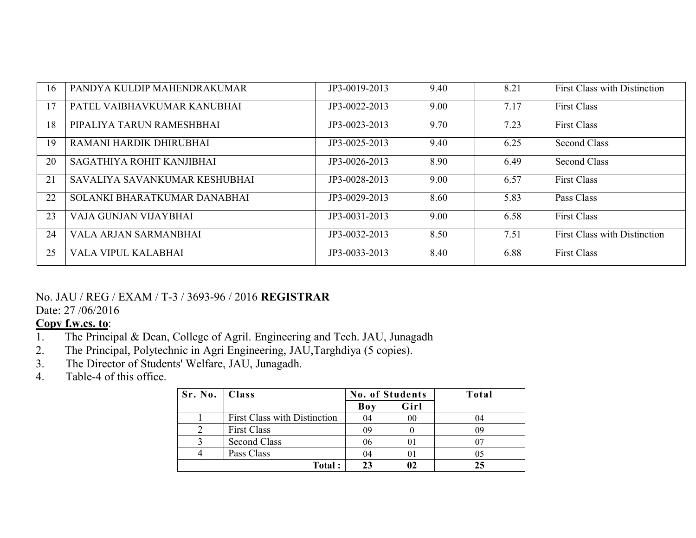| 16 | PANDYA KULDIP MAHENDRAKUMAR   | JP3-0019-2013 | 9.40 | 8.21 | First Class with Distinction        |
|----|-------------------------------|---------------|------|------|-------------------------------------|
|    |                               |               |      |      |                                     |
| 17 | PATEL VAIBHAVKUMAR KANUBHAI   | JP3-0022-2013 | 9.00 | 7.17 | <b>First Class</b>                  |
|    |                               |               |      |      |                                     |
| 18 | PIPALIYA TARUN RAMESHBHAI     | JP3-0023-2013 | 9.70 | 7.23 | <b>First Class</b>                  |
| 19 | RAMANI HARDIK DHIRUBHAI       |               |      |      |                                     |
|    |                               | JP3-0025-2013 | 9.40 | 6.25 | <b>Second Class</b>                 |
| 20 | SAGATHIYA ROHIT KANJIBHAI     | JP3-0026-2013 | 8.90 | 6.49 | Second Class                        |
|    |                               |               |      |      |                                     |
| 21 | SAVALIYA SAVANKUMAR KESHUBHAI | JP3-0028-2013 | 9.00 | 6.57 | <b>First Class</b>                  |
|    |                               |               |      |      |                                     |
| 22 | SOLANKI BHARATKUMAR DANABHAI  | JP3-0029-2013 | 8.60 | 5.83 | Pass Class                          |
|    |                               |               |      |      |                                     |
| 23 | VAJA GUNJAN VIJAYBHAI         | JP3-0031-2013 | 9.00 | 6.58 | <b>First Class</b>                  |
|    |                               |               |      |      |                                     |
| 24 | <b>VALA ARJAN SARMANBHAI</b>  | JP3-0032-2013 | 8.50 | 7.51 | <b>First Class with Distinction</b> |
| 25 | VALA VIPUL KALABHAI           | JP3-0033-2013 | 8.40 | 6.88 | <b>First Class</b>                  |
|    |                               |               |      |      |                                     |

### No. JAU / REG / EXAM / T-3 / 3693-96 / 2016 **REGISTRAR**

Date: 27 /06/2016

- 1. The Principal & Dean, College of Agril. Engineering and Tech. JAU, Junagadh 2. The Principal, Polytechnic in Agri Engineering, JAU, Targhdiya (5 copies).
- 2. The Principal, Polytechnic in Agri Engineering, JAU, Targhdiya (5 copies).<br>3. The Director of Students' Welfare, JAU, Junagadh.
- The Director of Students' Welfare, JAU, Junagadh.
- 4. Table-4 of this office.

| Sr. No.   Class |                              | <b>No. of Students</b> |                | Total |
|-----------------|------------------------------|------------------------|----------------|-------|
|                 |                              | Boy                    | Girl           |       |
|                 | First Class with Distinction | 04                     | 00             | 04    |
|                 | <b>First Class</b>           | 09                     |                |       |
|                 | <b>Second Class</b>          | 06                     | $\overline{0}$ |       |
|                 | Pass Class                   | 04                     | 01             | 05    |
|                 | Total:                       | 23                     |                | 25    |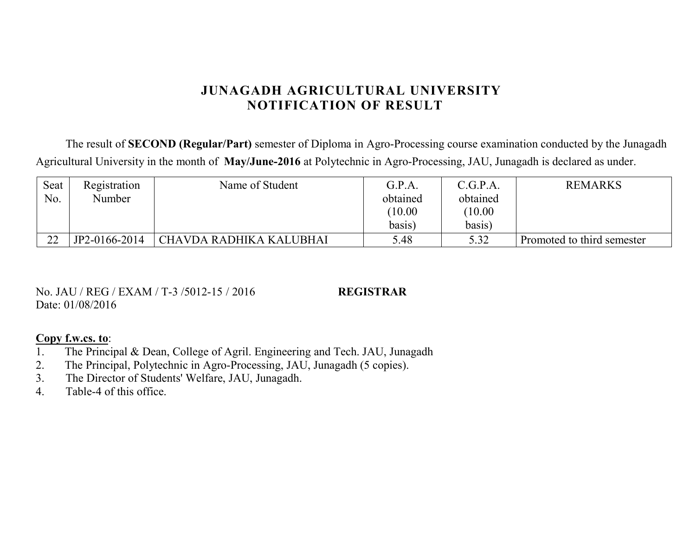The result of **SECOND (Regular/Part)** semester of Diploma in Agro-Processing course examination conducted by the Junagadh Agricultural University in the month of **May/June-2016** at Polytechnic in Agro-Processing, JAU, Junagadh is declared as under.

| Seat   | Registration  | Name of Student         | G.P.A.   | C.G.P.A. | <b>REMARKS</b>             |
|--------|---------------|-------------------------|----------|----------|----------------------------|
| No.    | Number        |                         | obtained | obtained |                            |
|        |               |                         | (10.00)  | 10.00    |                            |
|        |               |                         | basis)   | basis)   |                            |
| $\cap$ | JP2-0166-2014 | CHAVDA RADHIKA KALUBHAI | 5.48     | 5.32     | Promoted to third semester |

No. JAU / REG / EXAM / T-3 /5012-15 / 2016 **REGISTRAR** Date: 01/08/2016

- 1. The Principal & Dean, College of Agril. Engineering and Tech. JAU, Junagadh
- 2. The Principal, Polytechnic in Agro-Processing, JAU, Junagadh (5 copies).<br>3. The Director of Students' Welfare, JAU, Junagadh.
- The Director of Students' Welfare, JAU, Junagadh.
- 4. Table-4 of this office.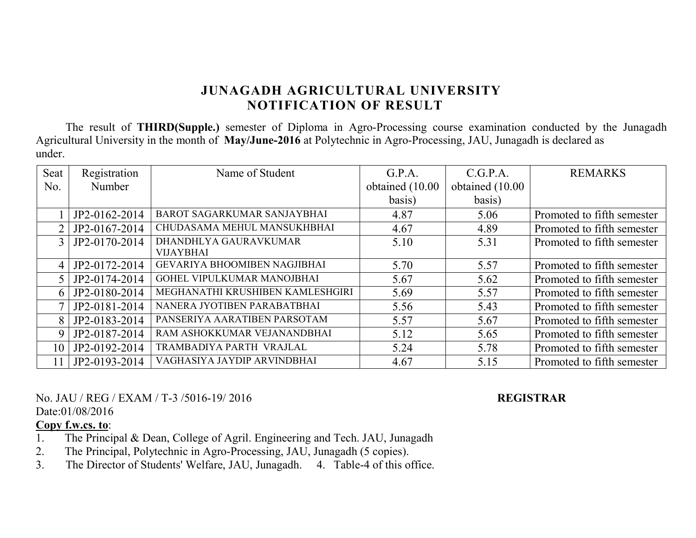The result of **THIRD(Supple.)** semester of Diploma in Agro-Processing course examination conducted by the Junagadh Agricultural University in the month of **May/June-2016** at Polytechnic in Agro-Processing, JAU, Junagadh is declared as under.

| Seat           | Registration  | Name of Student                  | G.P.A.          | C.G.P.A.        | <b>REMARKS</b>             |
|----------------|---------------|----------------------------------|-----------------|-----------------|----------------------------|
| No.            | Number        |                                  | obtained (10.00 | obtained (10.00 |                            |
|                |               |                                  | basis)          | basis)          |                            |
|                | JP2-0162-2014 | BAROT SAGARKUMAR SANJAYBHAI      | 4.87            | 5.06            | Promoted to fifth semester |
|                | JP2-0167-2014 | CHUDASAMA MEHUL MANSUKHBHAI      | 4.67            | 4.89            | Promoted to fifth semester |
| 3 <sup>1</sup> | JP2-0170-2014 | DHANDHLYA GAURAVKUMAR            | 5.10            | 5.31            | Promoted to fifth semester |
|                |               | <b>VIJAYBHAI</b>                 |                 |                 |                            |
| $\vert$        | JP2-0172-2014 | GEVARIYA BHOOMIBEN NAGJIBHAI     | 5.70            | 5.57            | Promoted to fifth semester |
| $5^{\circ}$    | JP2-0174-2014 | GOHEL VIPULKUMAR MANOJBHAI       | 5.67            | 5.62            | Promoted to fifth semester |
| 6              | JP2-0180-2014 | MEGHANATHI KRUSHIBEN KAMLESHGIRI | 5.69            | 5.57            | Promoted to fifth semester |
|                | JP2-0181-2014 | NANERA JYOTIBEN PARABATBHAI      | 5.56            | 5.43            | Promoted to fifth semester |
| 8              | JP2-0183-2014 | PANSERIYA AARATIBEN PARSOTAM     | 5.57            | 5.67            | Promoted to fifth semester |
| 9              | JP2-0187-2014 | RAM ASHOKKUMAR VEJANANDBHAI      | 5.12            | 5.65            | Promoted to fifth semester |
| 10             | JP2-0192-2014 | TRAMBADIYA PARTH VRAJLAL         | 5.24            | 5.78            | Promoted to fifth semester |
| 11             | JP2-0193-2014 | VAGHASIYA JAYDIP ARVINDBHAI      | 4.67            | 5.15            | Promoted to fifth semester |

No. JAU / REG / EXAM / T-3 /5016-19/ 2016 **REGISTRAR** Date:01/08/2016

- 1. The Principal & Dean, College of Agril. Engineering and Tech. JAU, Junagadh
- 2. The Principal, Polytechnic in Agro-Processing, JAU, Junagadh (5 copies).
- 3. The Director of Students' Welfare, JAU, Junagadh. 4. Table-4 of this office.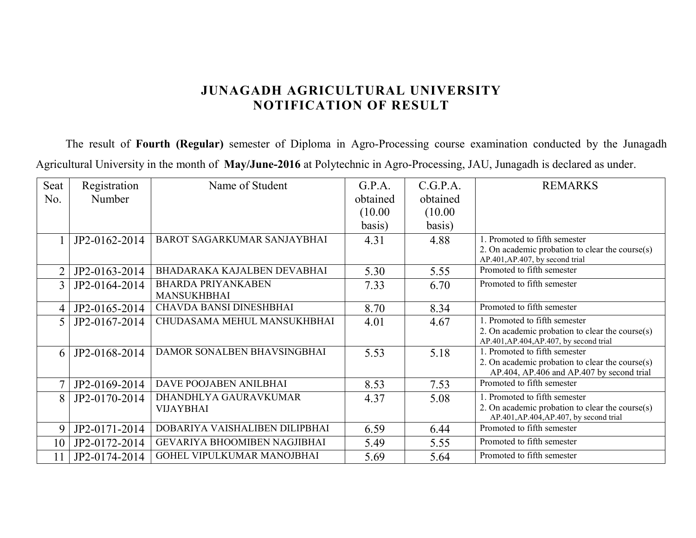The result of **Fourth (Regular)** semester of Diploma in Agro-Processing course examination conducted by the Junagadh Agricultural University in the month of **May/June-2016** at Polytechnic in Agro-Processing, JAU, Junagadh is declared as under.

| Seat           | Registration  | Name of Student                                 | G.P.A.   | C.G.P.A. | <b>REMARKS</b>                                                                                |
|----------------|---------------|-------------------------------------------------|----------|----------|-----------------------------------------------------------------------------------------------|
| No.            | Number        |                                                 | obtained | obtained |                                                                                               |
|                |               |                                                 | (10.00)  | (10.00)  |                                                                                               |
|                |               |                                                 | basis)   | basis)   |                                                                                               |
|                | JP2-0162-2014 | BAROT SAGARKUMAR SANJAYBHAI                     | 4.31     | 4.88     | 1. Promoted to fifth semester                                                                 |
|                |               |                                                 |          |          | 2. On academic probation to clear the course(s)<br>AP.401, AP.407, by second trial            |
| $\overline{2}$ | JP2-0163-2014 | BHADARAKA KAJALBEN DEVABHAI                     | 5.30     | 5.55     | Promoted to fifth semester                                                                    |
| $\overline{3}$ | JP2-0164-2014 | <b>BHARDA PRIYANKABEN</b><br><b>MANSUKHBHAI</b> | 7.33     | 6.70     | Promoted to fifth semester                                                                    |
| $\overline{4}$ | JP2-0165-2014 | <b>CHAVDA BANSI DINESHBHAI</b>                  | 8.70     | 8.34     | Promoted to fifth semester                                                                    |
| 5              | JP2-0167-2014 | CHUDASAMA MEHUL MANSUKHBHAI                     | 4.01     | 4.67     | 1. Promoted to fifth semester<br>2. On academic probation to clear the course(s)              |
|                |               |                                                 |          |          | AP.401, AP.404, AP.407, by second trial                                                       |
| 6              | JP2-0168-2014 | DAMOR SONALBEN BHAVSINGBHAI                     | 5.53     | 5.18     | 1 Promoted to fifth semester                                                                  |
|                |               |                                                 |          |          | 2. On academic probation to clear the course(s)<br>AP.404, AP.406 and AP.407 by second trial  |
| 7              | JP2-0169-2014 | DAVE POOJABEN ANILBHAI                          | 8.53     | 7.53     | Promoted to fifth semester                                                                    |
| 8              | JP2-0170-2014 | DHANDHLYA GAURAVKUMAR                           | 4.37     | 5.08     | 1. Promoted to fifth semester                                                                 |
|                |               | <b>VIJAYBHAI</b>                                |          |          | 2. On academic probation to clear the course $(s)$<br>AP.401, AP.404, AP.407, by second trial |
| 9              | JP2-0171-2014 | DOBARIYA VAISHALIBEN DILIPBHAI                  | 6.59     | 6.44     | Promoted to fifth semester                                                                    |
| 10             | JP2-0172-2014 | GEVARIYA BHOOMIBEN NAGJIBHAI                    | 5.49     | 5.55     | Promoted to fifth semester                                                                    |
| 11             | JP2-0174-2014 | GOHEL VIPULKUMAR MANOJBHAI                      | 5.69     | 5.64     | Promoted to fifth semester                                                                    |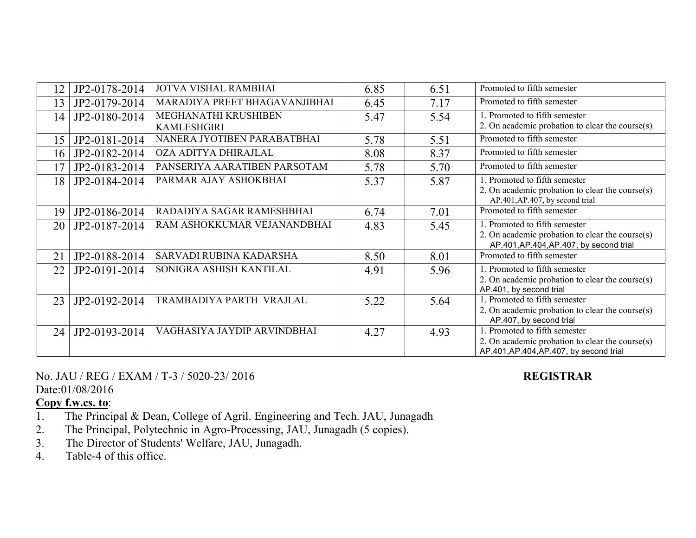| $ 2\rangle$ | JP2-0178-2014 | <b>JOTVA VISHAL RAMBHAI</b>                | 6.85 | 6.51 | Promoted to fifth semester                                                                                                     |
|-------------|---------------|--------------------------------------------|------|------|--------------------------------------------------------------------------------------------------------------------------------|
| 13          | JP2-0179-2014 | MARADIYA PREET BHAGAVANJIBHAI              | 6.45 | 7.17 | Promoted to fifth semester                                                                                                     |
| 14          | JP2-0180-2014 | MEGHANATHI KRUSHIBEN<br><b>KAMLESHGIRI</b> | 5.47 | 5.54 | 1. Promoted to fifth semester<br>2. On academic probation to clear the course(s)                                               |
| 15          | JP2-0181-2014 | NANERA JYOTIBEN PARABATBHAI                | 5.78 | 5.51 | Promoted to fifth semester                                                                                                     |
| 16          | JP2-0182-2014 | OZA ADITYA DHIRAJLAL                       | 8.08 | 8.37 | Promoted to fifth semester                                                                                                     |
| . 7         | JP2-0183-2014 | PANSERIYA AARATIBEN PARSOTAM               | 5.78 | 5.70 | Promoted to fifth semester                                                                                                     |
| 18          | JP2-0184-2014 | PARMAR AJAY ASHOKBHAI                      | 5.37 | 5.87 | 1. Promoted to fifth semester<br>2. On academic probation to clear the course(s)<br>AP.401, AP.407, by second trial            |
| 19          | JP2-0186-2014 | RADADIYA SAGAR RAMESHBHAI                  | 6.74 | 7.01 | Promoted to fifth semester                                                                                                     |
| 20          | JP2-0187-2014 | RAM ASHOKKUMAR VEJANANDBHAI                | 4.83 | 5.45 | 1. Promoted to fifth semester<br>2. On academic probation to clear the course $(s)$<br>AP.401, AP.404, AP.407, by second trial |
| 21          | JP2-0188-2014 | SARVADI RUBINA KADARSHA                    | 8.50 | 8.01 | Promoted to fifth semester                                                                                                     |
| 22          | JP2-0191-2014 | SONIGRA ASHISH KANTILAL                    | 4.91 | 5.96 | 1. Promoted to fifth semester<br>2. On academic probation to clear the course $(s)$<br>AP.401, by second trial                 |
| 23          | JP2-0192-2014 | TRAMBADIYA PARTH VRAJLAL                   | 5.22 | 5.64 | 1. Promoted to fifth semester<br>2. On academic probation to clear the course $(s)$<br>AP.407, by second trial                 |
| 24          | JP2-0193-2014 | VAGHASIYA JAYDIP ARVINDBHAI                | 4.27 | 4.93 | 1. Promoted to fifth semester<br>2. On academic probation to clear the course $(s)$<br>AP.401, AP.404, AP.407, by second trial |

No. JAU / REG / EXAM / T-3 / 5020-23/ 2016 **REGISTRAR** Date:01/08/2016

- 1. The Principal & Dean, College of Agril. Engineering and Tech. JAU, Junagadh
- 2. The Principal, Polytechnic in Agro-Processing, JAU, Junagadh (5 copies).
- 3. The Director of Students' Welfare, JAU, Junagadh.<br>4. Table-4 of this office.
- Table-4 of this office.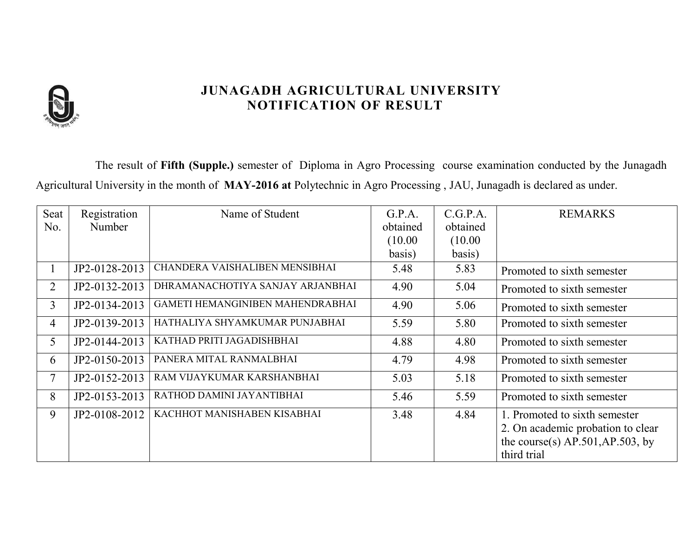

The result of **Fifth (Supple.)** semester of Diploma in Agro Processing course examination conducted by the Junagadh Agricultural University in the month of **MAY-2016 at** Polytechnic in Agro Processing , JAU, Junagadh is declared as under.

| Seat           | Registration  | Name of Student                  | G.P.A.   | C.G.P.A. | <b>REMARKS</b>                      |
|----------------|---------------|----------------------------------|----------|----------|-------------------------------------|
| No.            | Number        |                                  | obtained | obtained |                                     |
|                |               |                                  | (10.00)  | (10.00)  |                                     |
|                |               |                                  | basis)   | basis)   |                                     |
| $\mathbf{1}$   | JP2-0128-2013 | CHANDERA VAISHALIBEN MENSIBHAI   | 5.48     | 5.83     | Promoted to sixth semester          |
| $\overline{2}$ | JP2-0132-2013 | DHRAMANACHOTIYA SANJAY ARJANBHAI | 4.90     | 5.04     | Promoted to sixth semester          |
| 3              | JP2-0134-2013 | GAMETI HEMANGINIBEN MAHENDRABHAI | 4.90     | 5.06     | Promoted to sixth semester          |
| $\overline{4}$ | JP2-0139-2013 | HATHALIYA SHYAMKUMAR PUNJABHAI   | 5.59     | 5.80     | Promoted to sixth semester          |
| 5              | JP2-0144-2013 | KATHAD PRITI JAGADISHBHAI        | 4.88     | 4.80     | Promoted to sixth semester          |
| 6              | JP2-0150-2013 | PANERA MITAL RANMALBHAI          | 4.79     | 4.98     | Promoted to sixth semester          |
| 7              | JP2-0152-2013 | RAM VIJAYKUMAR KARSHANBHAI       | 5.03     | 5.18     | Promoted to sixth semester          |
| 8              | JP2-0153-2013 | RATHOD DAMINI JAYANTIBHAI        | 5.46     | 5.59     | Promoted to sixth semester          |
| 9              | JP2-0108-2012 | KACHHOT MANISHABEN KISABHAI      | 3.48     | 4.84     | 1. Promoted to sixth semester       |
|                |               |                                  |          |          | 2. On academic probation to clear   |
|                |               |                                  |          |          | the course(s) $AP.501, AP.503$ , by |
|                |               |                                  |          |          | third trial                         |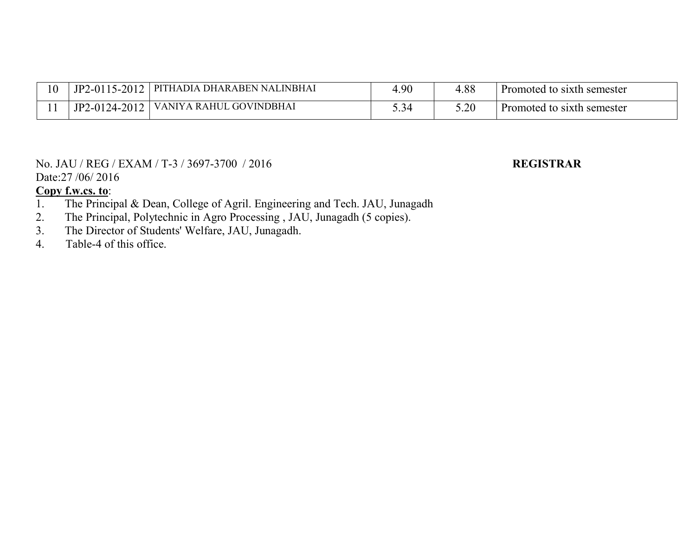| 10 | $5 - 2012$<br>$2 - 0115$ | A DHARABEN NALINBHAI<br>PITHADIA            | 4.90     | .88  | Promoted to sixth semester |
|----|--------------------------|---------------------------------------------|----------|------|----------------------------|
|    | $-2012$<br>2-0124-2      | <b>RAHUL</b><br><b>GOVINDBHAI</b><br>'ANIYA | <u>ຸ</u> | 5.20 | Promoted to sixth semester |

#### No. JAU / REG / EXAM / T-3 / 3697-3700 / 2016 **REGISTRAR** Date:27 /06/ 2016

- 1. The Principal & Dean, College of Agril. Engineering and Tech. JAU, Junagadh
- 2. The Principal, Polytechnic in Agro Processing , JAU, Junagadh (5 copies).<br>3. The Director of Students' Welfare, JAU, Junagadh.
- 3. The Director of Students' Welfare, JAU, Junagadh.<br>4. Table-4 of this office.
- Table-4 of this office.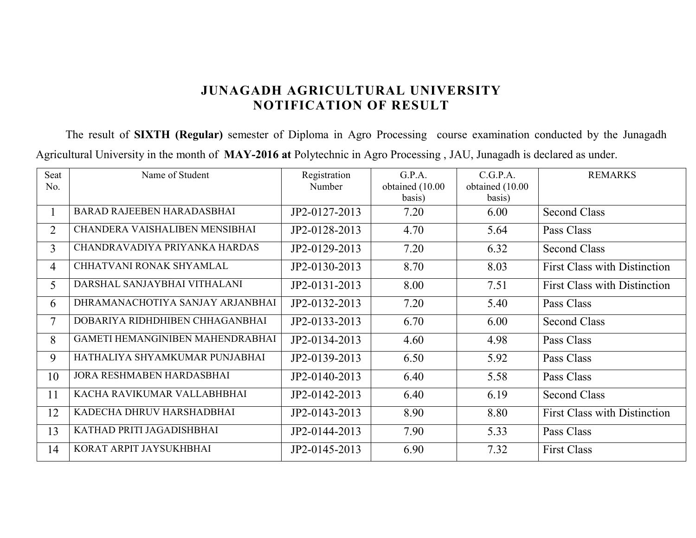The result of **SIXTH (Regular)** semester of Diploma in Agro Processing course examination conducted by the Junagadh Agricultural University in the month of **MAY-2016 at** Polytechnic in Agro Processing , JAU, Junagadh is declared as under.

| Seat           | Name of Student                         | Registration  | G.P.A.          | C.G.P.A.        | <b>REMARKS</b>                      |
|----------------|-----------------------------------------|---------------|-----------------|-----------------|-------------------------------------|
| No.            |                                         | Number        | obtained (10.00 | obtained (10.00 |                                     |
|                |                                         |               | basis)          | basis)          |                                     |
|                | BARAD RAJEEBEN HARADASBHAI              | JP2-0127-2013 | 7.20            | 6.00            | <b>Second Class</b>                 |
| $\overline{2}$ | CHANDERA VAISHALIBEN MENSIBHAI          | JP2-0128-2013 | 4.70            | 5.64            | Pass Class                          |
| $\overline{3}$ | CHANDRAVADIYA PRIYANKA HARDAS           | JP2-0129-2013 | 7.20            | 6.32            | <b>Second Class</b>                 |
| $\overline{4}$ | CHHATVANI RONAK SHYAMLAL                | JP2-0130-2013 | 8.70            | 8.03            | <b>First Class with Distinction</b> |
| 5              | DARSHAL SANJAYBHAI VITHALANI            | JP2-0131-2013 | 8.00            | 7.51            | <b>First Class with Distinction</b> |
| 6              | DHRAMANACHOTIYA SANJAY ARJANBHAI        | JP2-0132-2013 | 7.20            | 5.40            | Pass Class                          |
| $\overline{7}$ | DOBARIYA RIDHDHIBEN CHHAGANBHAI         | JP2-0133-2013 | 6.70            | 6.00            | <b>Second Class</b>                 |
| 8              | <b>GAMETI HEMANGINIBEN MAHENDRABHAI</b> | JP2-0134-2013 | 4.60            | 4.98            | Pass Class                          |
| 9              | HATHALIYA SHYAMKUMAR PUNJABHAI          | JP2-0139-2013 | 6.50            | 5.92            | Pass Class                          |
| 10             | JORA RESHMABEN HARDASBHAI               | JP2-0140-2013 | 6.40            | 5.58            | Pass Class                          |
| 11             | KACHA RAVIKUMAR VALLABHBHAI             | JP2-0142-2013 | 6.40            | 6.19            | <b>Second Class</b>                 |
| 12             | KADECHA DHRUV HARSHADBHAI               | JP2-0143-2013 | 8.90            | 8.80            | <b>First Class with Distinction</b> |
| 13             | KATHAD PRITI JAGADISHBHAI               | JP2-0144-2013 | 7.90            | 5.33            | Pass Class                          |
| 14             | KORAT ARPIT JAYSUKHBHAI                 | JP2-0145-2013 | 6.90            | 7.32            | <b>First Class</b>                  |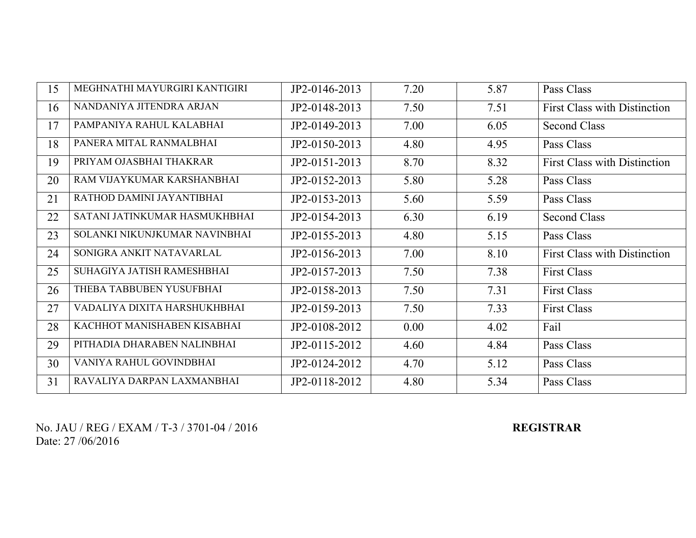| 15 | MEGHNATHI MAYURGIRI KANTIGIRI | JP2-0146-2013 | 7.20 | 5.87 | Pass Class                          |
|----|-------------------------------|---------------|------|------|-------------------------------------|
| 16 | NANDANIYA JITENDRA ARJAN      | JP2-0148-2013 | 7.50 | 7.51 | <b>First Class with Distinction</b> |
| 17 | PAMPANIYA RAHUL KALABHAI      | JP2-0149-2013 | 7.00 | 6.05 | <b>Second Class</b>                 |
| 18 | PANERA MITAL RANMALBHAI       | JP2-0150-2013 | 4.80 | 4.95 | Pass Class                          |
| 19 | PRIYAM OJASBHAI THAKRAR       | JP2-0151-2013 | 8.70 | 8.32 | <b>First Class with Distinction</b> |
| 20 | RAM VIJAYKUMAR KARSHANBHAI    | JP2-0152-2013 | 5.80 | 5.28 | Pass Class                          |
| 21 | RATHOD DAMINI JAYANTIBHAI     | JP2-0153-2013 | 5.60 | 5.59 | Pass Class                          |
| 22 | SATANI JATINKUMAR HASMUKHBHAI | JP2-0154-2013 | 6.30 | 6.19 | <b>Second Class</b>                 |
| 23 | SOLANKI NIKUNJKUMAR NAVINBHAI | JP2-0155-2013 | 4.80 | 5.15 | Pass Class                          |
| 24 | SONIGRA ANKIT NATAVARLAL      | JP2-0156-2013 | 7.00 | 8.10 | <b>First Class with Distinction</b> |
| 25 | SUHAGIYA JATISH RAMESHBHAI    | JP2-0157-2013 | 7.50 | 7.38 | <b>First Class</b>                  |
| 26 | THEBA TABBUBEN YUSUFBHAI      | JP2-0158-2013 | 7.50 | 7.31 | <b>First Class</b>                  |
| 27 | VADALIYA DIXITA HARSHUKHBHAI  | JP2-0159-2013 | 7.50 | 7.33 | <b>First Class</b>                  |
| 28 | KACHHOT MANISHABEN KISABHAI   | JP2-0108-2012 | 0.00 | 4.02 | Fail                                |
| 29 | PITHADIA DHARABEN NALINBHAI   | JP2-0115-2012 | 4.60 | 4.84 | Pass Class                          |
| 30 | VANIYA RAHUL GOVINDBHAI       | JP2-0124-2012 | 4.70 | 5.12 | Pass Class                          |
| 31 | RAVALIYA DARPAN LAXMANBHAI    | JP2-0118-2012 | 4.80 | 5.34 | Pass Class                          |

No. JAU / REG / EXAM / T-3 / 3701-04 / 2016 **REGISTRAR** Date: 27 /06/2016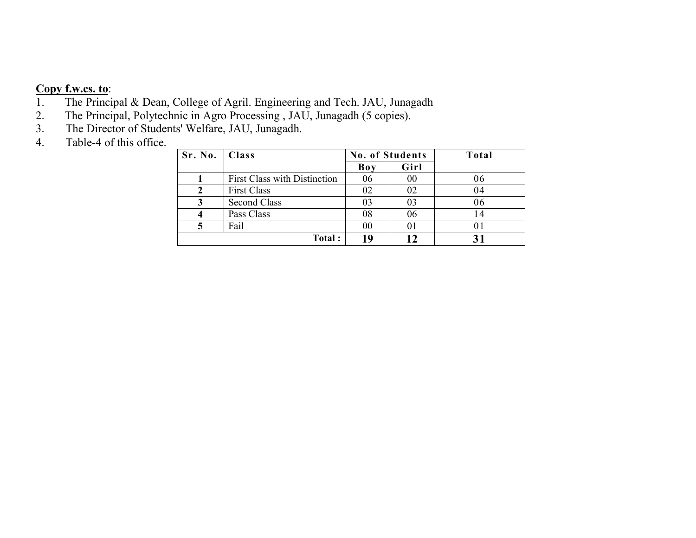# **Copy f.w.cs. to:**<br>1. The Princip

- 1. The Principal & Dean, College of Agril. Engineering and Tech. JAU, Junagadh 2. The Principal, Polytechnic in Agro Processing, JAU, Junagadh (5 copies).
- 2. The Principal, Polytechnic in Agro Processing , JAU, Junagadh (5 copies).
- 3. The Director of Students' Welfare, JAU, Junagadh.
- 4. Table-4 of this office.

| Sr. No.   Class |                                     | <b>No. of Students</b> |      | Total |
|-----------------|-------------------------------------|------------------------|------|-------|
|                 |                                     | Boy                    | Girl |       |
|                 | <b>First Class with Distinction</b> | 06                     | 00   | 06    |
|                 | <b>First Class</b>                  | 02                     | 02   | 04    |
|                 | Second Class                        |                        | 03   | 06    |
|                 | Pass Class                          | 08                     | 06   | 14    |
|                 | Fail                                | 00                     | 01   |       |
|                 | Total:                              |                        |      |       |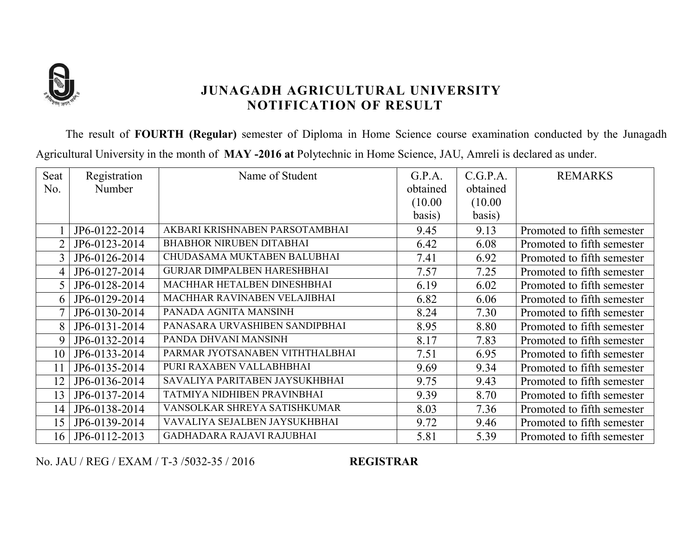

The result of **FOURTH (Regular)** semester of Diploma in Home Science course examination conducted by the Junagadh Agricultural University in the month of **MAY -2016 at** Polytechnic in Home Science, JAU, Amreli is declared as under.

| Seat            | Registration  | Name of Student                    | G.P.A.   | C.G.P.A. | <b>REMARKS</b>             |
|-----------------|---------------|------------------------------------|----------|----------|----------------------------|
| No.             | Number        |                                    | obtained | obtained |                            |
|                 |               |                                    | (10.00)  | (10.00)  |                            |
|                 |               |                                    | basis)   | basis)   |                            |
|                 | JP6-0122-2014 | AKBARI KRISHNABEN PARSOTAMBHAI     | 9.45     | 9.13     | Promoted to fifth semester |
| $\overline{2}$  | JP6-0123-2014 | <b>BHABHOR NIRUBEN DITABHAI</b>    | 6.42     | 6.08     | Promoted to fifth semester |
| 3               | JP6-0126-2014 | CHUDASAMA MUKTABEN BALUBHAI        | 7.41     | 6.92     | Promoted to fifth semester |
| 4               | JP6-0127-2014 | <b>GURJAR DIMPALBEN HARESHBHAI</b> | 7.57     | 7.25     | Promoted to fifth semester |
|                 | JP6-0128-2014 | MACHHAR HETALBEN DINESHBHAI        | 6.19     | 6.02     | Promoted to fifth semester |
| 6               | JP6-0129-2014 | MACHHAR RAVINABEN VELAJIBHAI       | 6.82     | 6.06     | Promoted to fifth semester |
|                 | JP6-0130-2014 | PANADA AGNITA MANSINH              | 8.24     | 7.30     | Promoted to fifth semester |
| 8               | JP6-0131-2014 | PANASARA URVASHIBEN SANDIPBHAI     | 8.95     | 8.80     | Promoted to fifth semester |
| 9               | JP6-0132-2014 | PANDA DHVANI MANSINH               | 8.17     | 7.83     | Promoted to fifth semester |
| 10              | JP6-0133-2014 | PARMAR JYOTSANABEN VITHTHALBHAI    | 7.51     | 6.95     | Promoted to fifth semester |
| 11              | JP6-0135-2014 | PURI RAXABEN VALLABHBHAI           | 9.69     | 9.34     | Promoted to fifth semester |
| 12              | JP6-0136-2014 | SAVALIYA PARITABEN JAYSUKHBHAI     | 9.75     | 9.43     | Promoted to fifth semester |
| 13              | JP6-0137-2014 | TATMIYA NIDHIBEN PRAVINBHAI        | 9.39     | 8.70     | Promoted to fifth semester |
| 14              | JP6-0138-2014 | VANSOLKAR SHREYA SATISHKUMAR       | 8.03     | 7.36     | Promoted to fifth semester |
| 15              | JP6-0139-2014 | VAVALIYA SEJALBEN JAYSUKHBHAI      | 9.72     | 9.46     | Promoted to fifth semester |
| 16 <sup>1</sup> | JP6-0112-2013 | GADHADARA RAJAVI RAJUBHAI          | 5.81     | 5.39     | Promoted to fifth semester |

No. JAU / REG / EXAM / T-3 /5032-35 / 2016 **REGISTRAR**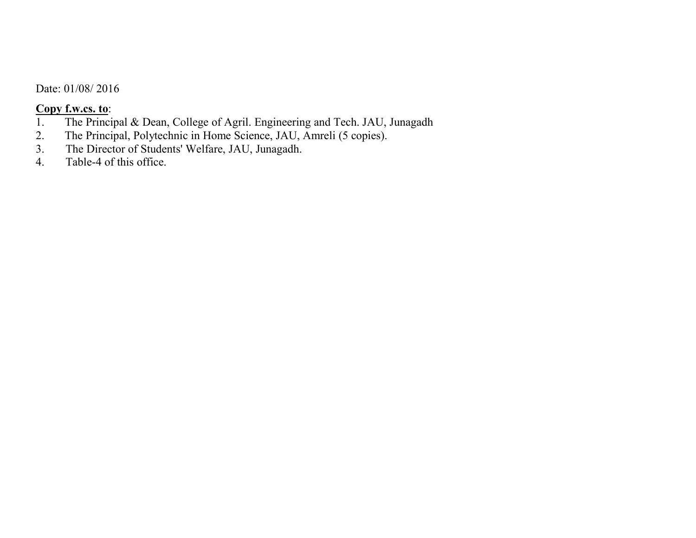Date: 01/08/ 2016

# **Copy f.w.cs. to:**<br>1. The Princi

- 1. The Principal & Dean, College of Agril. Engineering and Tech. JAU, Junagadh 2. The Principal, Polytechnic in Home Science, JAU, Amreli (5 copies).
- 2. The Principal, Polytechnic in Home Science, JAU, Amreli (5 copies).<br>3. The Director of Students' Welfare, JAU, Junagadh.
- 3. The Director of Students' Welfare, JAU, Junagadh.<br>4. Table-4 of this office.
- Table-4 of this office.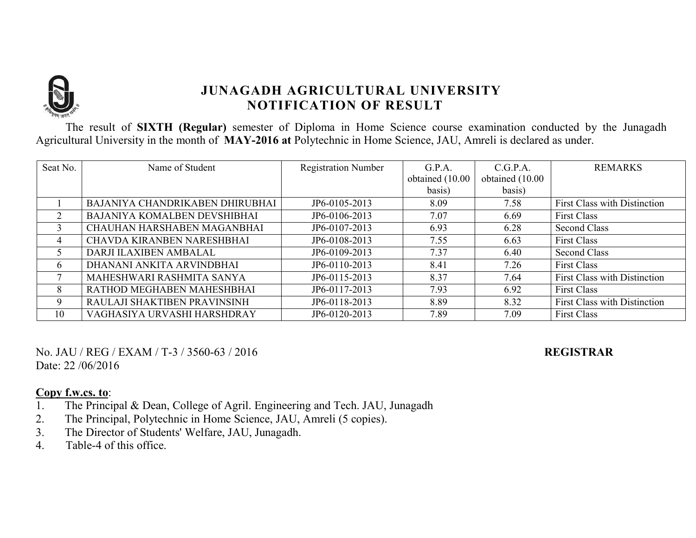

The result of **SIXTH (Regular)** semester of Diploma in Home Science course examination conducted by the Junagadh Agricultural University in the month of **MAY-2016 at** Polytechnic in Home Science, JAU, Amreli is declared as under.

| Seat No.     | Name of Student                 | <b>Registration Number</b> | G.P.A.          | C.G.P.A.        | <b>REMARKS</b>                      |
|--------------|---------------------------------|----------------------------|-----------------|-----------------|-------------------------------------|
|              |                                 |                            | obtained (10.00 | obtained (10.00 |                                     |
|              |                                 |                            | basis)          | basis)          |                                     |
|              | BAJANIYA CHANDRIKABEN DHIRUBHAI | JP6-0105-2013              | 8.09            | 7.58            | First Class with Distinction        |
|              | BAJANIYA KOMALBEN DEVSHIBHAI    | JP6-0106-2013              | 7.07            | 6.69            | <b>First Class</b>                  |
| 3            | CHAUHAN HARSHABEN MAGANBHAI     | JP6-0107-2013              | 6.93            | 6.28            | <b>Second Class</b>                 |
| 4            | CHAVDA KIRANBEN NARESHBHAI      | JP6-0108-2013              | 7.55            | 6.63            | <b>First Class</b>                  |
|              | DARJI ILAXIBEN AMBALAL          | JP6-0109-2013              | 7.37            | 6.40            | Second Class                        |
| $\mathbf{r}$ | DHANANI ANKITA ARVINDBHAI       | JP6-0110-2013              | 8.41            | 7.26            | <b>First Class</b>                  |
|              | MAHESHWARI RASHMITA SANYA       | JP6-0115-2013              | 8.37            | 7.64            | <b>First Class with Distinction</b> |
| 8            | RATHOD MEGHABEN MAHESHBHAI      | JP6-0117-2013              | 7.93            | 6.92            | <b>First Class</b>                  |
| 9            | RAULAJI SHAKTIBEN PRAVINSINH    | JP6-0118-2013              | 8.89            | 8.32            | <b>First Class with Distinction</b> |
| 10           | VAGHASIYA URVASHI HARSHDRAY     | JP6-0120-2013              | 7.89            | 7.09            | <b>First Class</b>                  |

No. JAU / REG / EXAM / T-3 / 3560-63 / 2016 **REGISTRAR** Date: 22 /06/2016

- 1. The Principal & Dean, College of Agril. Engineering and Tech. JAU, Junagadh
- 2. The Principal, Polytechnic in Home Science, JAU, Amreli (5 copies).
- 3. The Director of Students' Welfare, JAU, Junagadh.<br>4. Table-4 of this office.
- Table-4 of this office.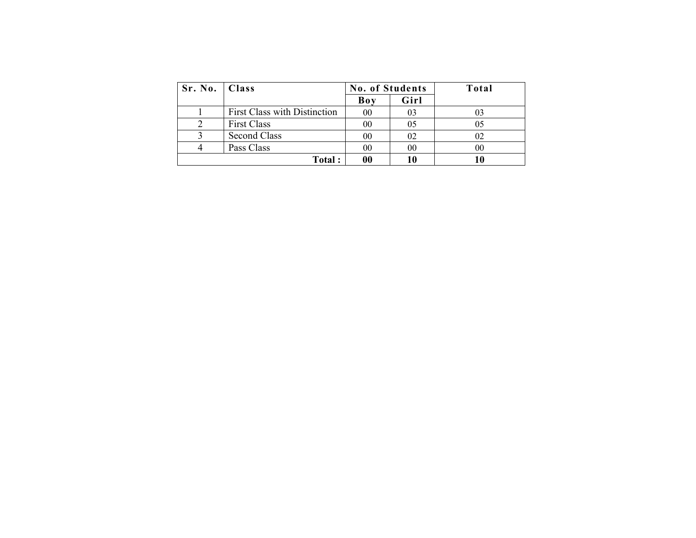| Sr. No.   Class |                                     | <b>No. of Students</b> |      | Total |
|-----------------|-------------------------------------|------------------------|------|-------|
|                 |                                     | Boy                    | Girl |       |
|                 | <b>First Class with Distinction</b> | 00                     | 03   |       |
|                 | <b>First Class</b>                  | 00                     | 05   |       |
|                 | Second Class                        | 00                     | 02   |       |
|                 | Pass Class                          | 00                     | 00   |       |
|                 | Total:                              |                        | 10   |       |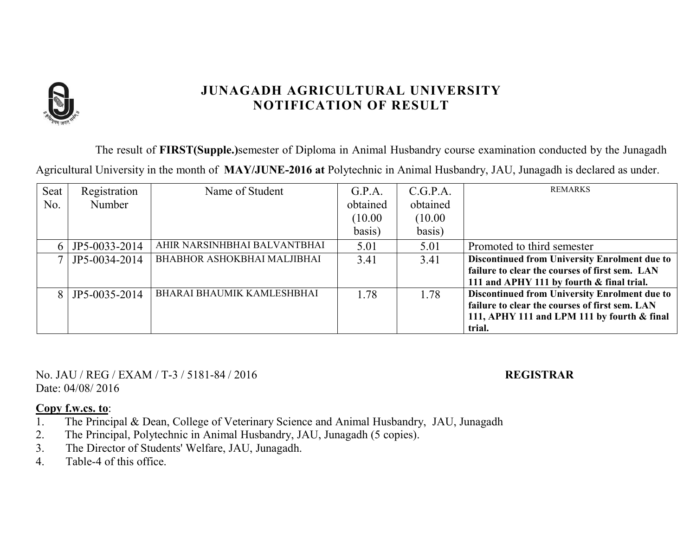

The result of **FIRST(Supple.)**semester of Diploma in Animal Husbandry course examination conducted by the Junagadh

Agricultural University in the month of **MAY/JUNE-2016 at** Polytechnic in Animal Husbandry, JAU, Junagadh is declared as under.

| Seat | Registration  | Name of Student              | G.P.A.   | C.G.P.A. | <b>REMARKS</b>                                       |
|------|---------------|------------------------------|----------|----------|------------------------------------------------------|
| No.  | Number        |                              | obtained | obtained |                                                      |
|      |               |                              | (10.00)  | (10.00)  |                                                      |
|      |               |                              | basis)   | basis)   |                                                      |
|      | JP5-0033-2014 | AHIR NARSINHBHAI BALVANTBHAI | 5.01     | 5.01     | Promoted to third semester                           |
|      | JP5-0034-2014 | BHABHOR ASHOKBHAI MALJIBHAI  | 3.41     | 3.41     | Discontinued from University Enrolment due to        |
|      |               |                              |          |          | failure to clear the courses of first sem. LAN       |
|      |               |                              |          |          | 111 and APHY 111 by fourth & final trial.            |
|      | JP5-0035-2014 | BHARAI BHAUMIK KAMLESHBHAI   | 1.78     | 1.78     | <b>Discontinued from University Enrolment due to</b> |
|      |               |                              |          |          | failure to clear the courses of first sem. LAN       |
|      |               |                              |          |          | 111, APHY 111 and LPM 111 by fourth $\&$ final       |
|      |               |                              |          |          | trial.                                               |

No. JAU / REG / EXAM / T-3 / 5181-84 / 2016 **REGISTRAR** Date: 04/08/ 2016

- 1. The Principal & Dean, College of Veterinary Science and Animal Husbandry, JAU, Junagadh
- 2. The Principal, Polytechnic in Animal Husbandry, JAU, Junagadh (5 copies).
- 3. The Director of Students' Welfare, JAU, Junagadh.
- 4. Table-4 of this office.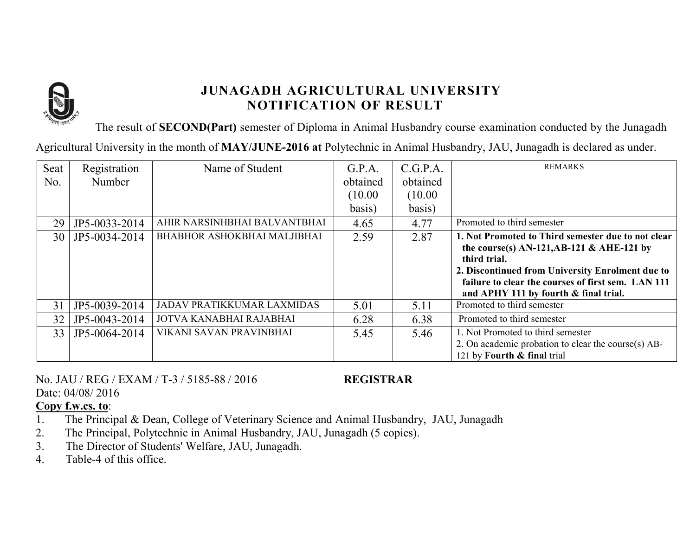

The result of **SECOND(Part)** semester of Diploma in Animal Husbandry course examination conducted by the Junagadh

Agricultural University in the month of **MAY/JUNE-2016 at** Polytechnic in Animal Husbandry, JAU, Junagadh is declared as under.

| Seat<br>No. | Registration<br>Number | Name of Student              | G.P.A.<br>obtained<br>(10.00)<br>basis) | C.G.P.A.<br>obtained<br>(10.00)<br>basis) | <b>REMARKS</b>                                                                                                                                                                                                                                                        |
|-------------|------------------------|------------------------------|-----------------------------------------|-------------------------------------------|-----------------------------------------------------------------------------------------------------------------------------------------------------------------------------------------------------------------------------------------------------------------------|
| 29          | JP5-0033-2014          | AHIR NARSINHBHAI BALVANTBHAI | 4.65                                    | 4.77                                      | Promoted to third semester                                                                                                                                                                                                                                            |
| 30          | JP5-0034-2014          | BHABHOR ASHOKBHAI MALJIBHAI  | 2.59                                    | 2.87                                      | 1. Not Promoted to Third semester due to not clear<br>the course(s) $AN-121, AB-121 \& AHE-121$ by<br>third trial.<br>2. Discontinued from University Enrolment due to<br>failure to clear the courses of first sem. LAN 111<br>and APHY 111 by fourth & final trial. |
| 31          | JP5-0039-2014          | JADAV PRATIKKUMAR LAXMIDAS   | 5.01                                    | 5.11                                      | Promoted to third semester                                                                                                                                                                                                                                            |
| 32          | JP5-0043-2014          | JOTVA KANABHAI RAJABHAI      | 6.28                                    | 6.38                                      | Promoted to third semester                                                                                                                                                                                                                                            |
| 33          | JP5-0064-2014          | VIKANI SAVAN PRAVINBHAI      | 5.45                                    | 5.46                                      | 1. Not Promoted to third semester<br>2. On academic probation to clear the course(s) AB-<br>121 by Fourth & final trial                                                                                                                                               |

No. JAU / REG / EXAM / T-3 / 5185-88 / 2016 **REGISTRAR** Date: 04/08/ 2016

**Copy f.w.cs. to**:

1. The Principal & Dean, College of Veterinary Science and Animal Husbandry, JAU, Junagadh

- 2. The Principal, Polytechnic in Animal Husbandry, JAU, Junagadh (5 copies).
- 3. The Director of Students' Welfare, JAU, Junagadh.

4. Table-4 of this office.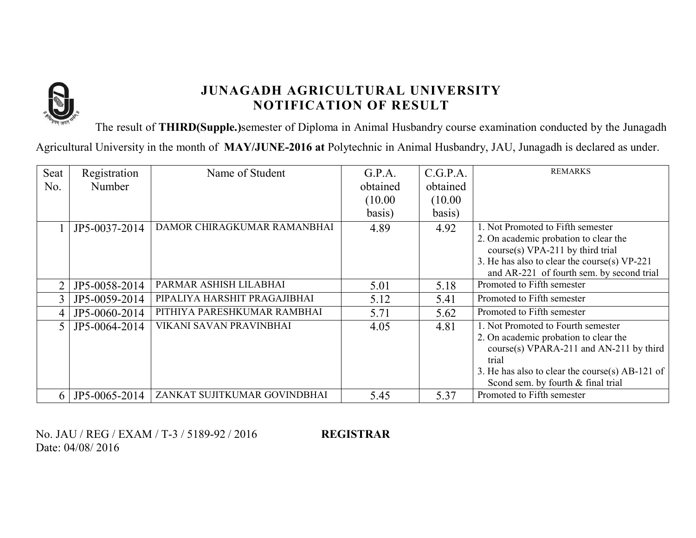

The result of **THIRD(Supple.)**semester of Diploma in Animal Husbandry course examination conducted by the Junagadh

Agricultural University in the month of **MAY/JUNE-2016 at** Polytechnic in Animal Husbandry, JAU, Junagadh is declared as under.

| Seat           | Registration  | Name of Student              | G.P.A.   | C.G.P.A. | <b>REMARKS</b>                                  |
|----------------|---------------|------------------------------|----------|----------|-------------------------------------------------|
| No.            | Number        |                              | obtained | obtained |                                                 |
|                |               |                              | (10.00)  | (10.00)  |                                                 |
|                |               |                              | basis)   | basis)   |                                                 |
|                | JP5-0037-2014 | DAMOR CHIRAGKUMAR RAMANBHAI  | 4.89     | 4.92     | 1. Not Promoted to Fifth semester               |
|                |               |                              |          |          | 2. On academic probation to clear the           |
|                |               |                              |          |          | $course(s) VPA-211$ by third trial              |
|                |               |                              |          |          | 3. He has also to clear the course(s) VP-221    |
|                |               |                              |          |          | and AR-221 of fourth sem. by second trial       |
|                | JP5-0058-2014 | PARMAR ASHISH LILABHAI       | 5.01     | 5.18     | Promoted to Fifth semester                      |
| $\overline{3}$ | JP5-0059-2014 | PIPALIYA HARSHIT PRAGAJIBHAI | 5.12     | 5.41     | Promoted to Fifth semester                      |
| 4              | JP5-0060-2014 | PITHIYA PARESHKUMAR RAMBHAI  | 5.71     | 5.62     | Promoted to Fifth semester                      |
|                | JP5-0064-2014 | VIKANI SAVAN PRAVINBHAI      | 4.05     | 4.81     | 1. Not Promoted to Fourth semester              |
|                |               |                              |          |          | 2. On academic probation to clear the           |
|                |               |                              |          |          | course(s) VPARA-211 and AN-211 by third         |
|                |               |                              |          |          | trial                                           |
|                |               |                              |          |          | 3. He has also to clear the course(s) AB-121 of |
|                |               |                              |          |          | Scond sem. by fourth & final trial              |
| 6 I            | JP5-0065-2014 | ZANKAT SUJITKUMAR GOVINDBHAI | 5.45     | 5.37     | Promoted to Fifth semester                      |

No. JAU / REG / EXAM / T-3 / 5189-92 / 2016 **REGISTRAR** Date: 04/08/ 2016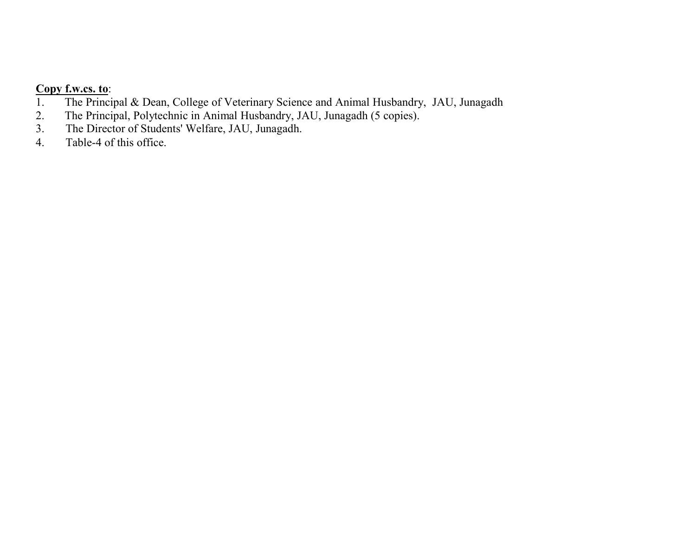# **Copy f.w.cs. to:**<br>1. The Princi

- 1. The Principal & Dean, College of Veterinary Science and Animal Husbandry, JAU, Junagadh 2. The Principal, Polytechnic in Animal Husbandry, JAU, Junagadh (5 copies).
- 2. The Principal, Polytechnic in Animal Husbandry, JAU, Junagadh (5 copies).<br>3. The Director of Students' Welfare, JAU, Junagadh.
- The Director of Students' Welfare, JAU, Junagadh.
- 4. Table-4 of this office.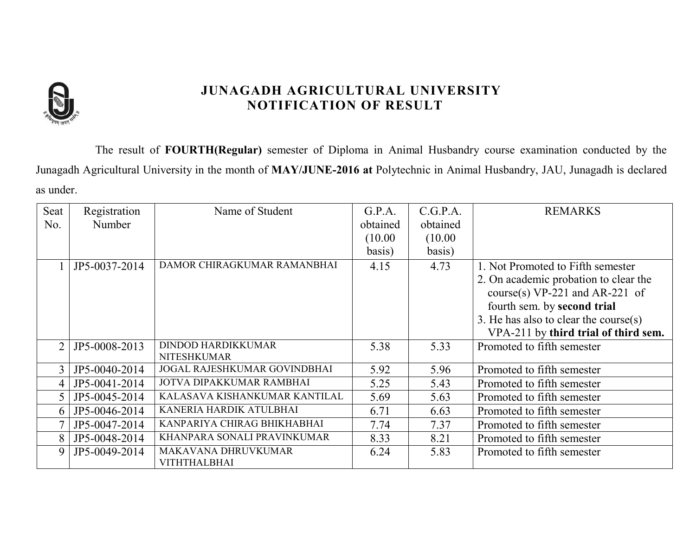

The result of **FOURTH(Regular)** semester of Diploma in Animal Husbandry course examination conducted by the Junagadh Agricultural University in the month of **MAY/JUNE-2016 at** Polytechnic in Animal Husbandry, JAU, Junagadh is declared as under.

| Seat           | Registration  | Name of Student                                 | G.P.A.   | C.G.P.A. | <b>REMARKS</b>                           |
|----------------|---------------|-------------------------------------------------|----------|----------|------------------------------------------|
| No.            | <b>Number</b> |                                                 | obtained | obtained |                                          |
|                |               |                                                 | (10.00)  | (10.00)  |                                          |
|                |               |                                                 | basis)   | basis)   |                                          |
|                | JP5-0037-2014 | DAMOR CHIRAGKUMAR RAMANBHAI                     | 4.15     | 4.73     | 1. Not Promoted to Fifth semester        |
|                |               |                                                 |          |          | 2. On academic probation to clear the    |
|                |               |                                                 |          |          | course(s) $VP-221$ and AR-221 of         |
|                |               |                                                 |          |          | fourth sem. by second trial              |
|                |               |                                                 |          |          | 3. He has also to clear the course $(s)$ |
|                |               |                                                 |          |          | VPA-211 by third trial of third sem.     |
| $\overline{2}$ | JP5-0008-2013 | <b>DINDOD HARDIKKUMAR</b><br><b>NITESHKUMAR</b> | 5.38     | 5.33     | Promoted to fifth semester               |
|                | JP5-0040-2014 | JOGAL RAJESHKUMAR GOVINDBHAI                    | 5.92     | 5.96     | Promoted to fifth semester               |
| 4              | JP5-0041-2014 | JOTVA DIPAKKUMAR RAMBHAI                        | 5.25     | 5.43     | Promoted to fifth semester               |
| 5              | JP5-0045-2014 | KALASAVA KISHANKUMAR KANTILAL                   | 5.69     | 5.63     | Promoted to fifth semester               |
| 6              | JP5-0046-2014 | KANERIA HARDIK ATULBHAI                         | 6.71     | 6.63     | Promoted to fifth semester               |
|                | JP5-0047-2014 | KANPARIYA CHIRAG BHIKHABHAI                     | 7.74     | 7.37     | Promoted to fifth semester               |
| 8              | JP5-0048-2014 | KHANPARA SONALI PRAVINKUMAR                     | 8.33     | 8.21     | Promoted to fifth semester               |
| 9              | JP5-0049-2014 | MAKAVANA DHRUVKUMAR<br><b>VITHTHALBHAI</b>      | 6.24     | 5.83     | Promoted to fifth semester               |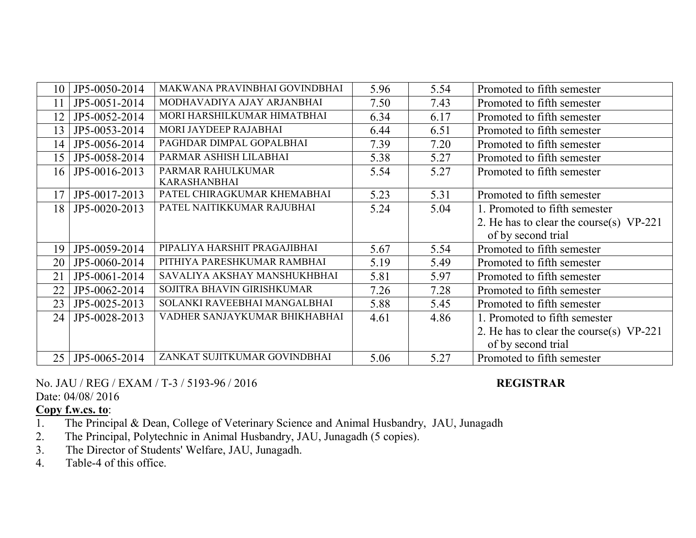| 10 | JP5-0050-2014 | MAKWANA PRAVINBHAI GOVINDBHAI | 5.96 | 5.54 | Promoted to fifth semester                |  |
|----|---------------|-------------------------------|------|------|-------------------------------------------|--|
| 11 | JP5-0051-2014 | MODHAVADIYA AJAY ARJANBHAI    | 7.50 | 7.43 | Promoted to fifth semester                |  |
| 12 | JP5-0052-2014 | MORI HARSHILKUMAR HIMATBHAI   | 6.34 | 6.17 | Promoted to fifth semester                |  |
| 13 | JP5-0053-2014 | MORI JAYDEEP RAJABHAI         | 6.44 | 6.51 | Promoted to fifth semester                |  |
| 14 | JP5-0056-2014 | PAGHDAR DIMPAL GOPALBHAI      | 7.39 | 7.20 | Promoted to fifth semester                |  |
| 15 | JP5-0058-2014 | PARMAR ASHISH LILABHAI        | 5.38 | 5.27 | Promoted to fifth semester                |  |
| 16 | JP5-0016-2013 | PARMAR RAHULKUMAR             | 5.54 | 5.27 | Promoted to fifth semester                |  |
|    |               | <b>KARASHANBHAI</b>           |      |      |                                           |  |
| 17 | JP5-0017-2013 | PATEL CHIRAGKUMAR KHEMABHAI   | 5.23 | 5.31 | Promoted to fifth semester                |  |
| 18 | JP5-0020-2013 | PATEL NAITIKKUMAR RAJUBHAI    | 5.24 | 5.04 | 1. Promoted to fifth semester             |  |
|    |               |                               |      |      | 2. He has to clear the course(s) VP-221   |  |
|    |               |                               |      |      | of by second trial                        |  |
| 19 | JP5-0059-2014 | PIPALIYA HARSHIT PRAGAJIBHAI  | 5.67 | 5.54 | Promoted to fifth semester                |  |
| 20 | JP5-0060-2014 | PITHIYA PARESHKUMAR RAMBHAI   | 5.19 | 5.49 | Promoted to fifth semester                |  |
| 21 | JP5-0061-2014 | SAVALIYA AKSHAY MANSHUKHBHAI  | 5.81 | 5.97 | Promoted to fifth semester                |  |
| 22 | JP5-0062-2014 | SOJITRA BHAVIN GIRISHKUMAR    | 7.26 | 7.28 | Promoted to fifth semester                |  |
| 23 | JP5-0025-2013 | SOLANKI RAVEEBHAI MANGALBHAI  | 5.88 | 5.45 | Promoted to fifth semester                |  |
| 24 | JP5-0028-2013 | VADHER SANJAYKUMAR BHIKHABHAI | 4.61 | 4.86 | 1. Promoted to fifth semester             |  |
|    |               |                               |      |      | 2. He has to clear the course(s) $VP-221$ |  |
|    |               |                               |      |      | of by second trial                        |  |
| 25 | JP5-0065-2014 | ZANKAT SUJITKUMAR GOVINDBHAI  | 5.06 | 5.27 | Promoted to fifth semester                |  |

No. JAU / REG / EXAM / T-3 / 5193-96 / 2016 **REGISTRAR**

Date: 04/08/ 2016

#### **Copy f.w.cs. to**:

1. The Principal & Dean, College of Veterinary Science and Animal Husbandry, JAU, Junagadh<br>2. The Principal, Polytechnic in Animal Husbandry, JAU, Junagadh (5 copies).

2. The Principal, Polytechnic in Animal Husbandry, JAU, Junagadh (5 copies).<br>3. The Director of Students' Welfare, JAU, Junagadh.

The Director of Students' Welfare, JAU, Junagadh.

4. Table-4 of this office.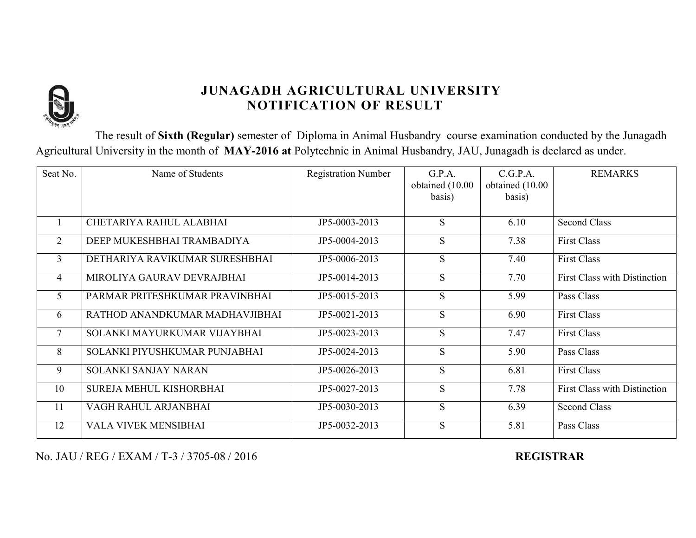

The result of **Sixth (Regular)** semester of Diploma in Animal Husbandry course examination conducted by the Junagadh Agricultural University in the month of **MAY-2016 at** Polytechnic in Animal Husbandry, JAU, Junagadh is declared as under.

| Seat No.       | Name of Students               | <b>Registration Number</b> | G.P.A.<br>obtained (10.00<br>basis) | C.G.P.A.<br>obtained (10.00<br>basis) | <b>REMARKS</b>                      |
|----------------|--------------------------------|----------------------------|-------------------------------------|---------------------------------------|-------------------------------------|
|                | CHETARIYA RAHUL ALABHAI        | JP5-0003-2013              | S                                   | 6.10                                  | <b>Second Class</b>                 |
| $\overline{2}$ | DEEP MUKESHBHAI TRAMBADIYA     | JP5-0004-2013              | S                                   | 7.38                                  | <b>First Class</b>                  |
| $\overline{3}$ | DETHARIYA RAVIKUMAR SURESHBHAI | JP5-0006-2013              | S                                   | 7.40                                  | <b>First Class</b>                  |
| $\overline{4}$ | MIROLIYA GAURAV DEVRAJBHAI     | JP5-0014-2013              | S                                   | 7.70                                  | <b>First Class with Distinction</b> |
| 5              | PARMAR PRITESHKUMAR PRAVINBHAI | JP5-0015-2013              | S                                   | 5.99                                  | Pass Class                          |
| 6              | RATHOD ANANDKUMAR MADHAVJIBHAI | JP5-0021-2013              | S                                   | 6.90                                  | <b>First Class</b>                  |
| $\overline{7}$ | SOLANKI MAYURKUMAR VIJAYBHAI   | JP5-0023-2013              | S                                   | 7.47                                  | <b>First Class</b>                  |
| 8              | SOLANKI PIYUSHKUMAR PUNJABHAI  | JP5-0024-2013              | S                                   | 5.90                                  | Pass Class                          |
| 9              | <b>SOLANKI SANJAY NARAN</b>    | JP5-0026-2013              | S                                   | 6.81                                  | <b>First Class</b>                  |
| 10             | SUREJA MEHUL KISHORBHAI        | JP5-0027-2013              | S                                   | 7.78                                  | <b>First Class with Distinction</b> |
| 11             | VAGH RAHUL ARJANBHAI           | JP5-0030-2013              | S                                   | 6.39                                  | <b>Second Class</b>                 |
| 12             | <b>VALA VIVEK MENSIBHAI</b>    | JP5-0032-2013              | S                                   | 5.81                                  | Pass Class                          |

No. JAU / REG / EXAM / T-3 / 3705-08 / 2016 **REGISTRAR**